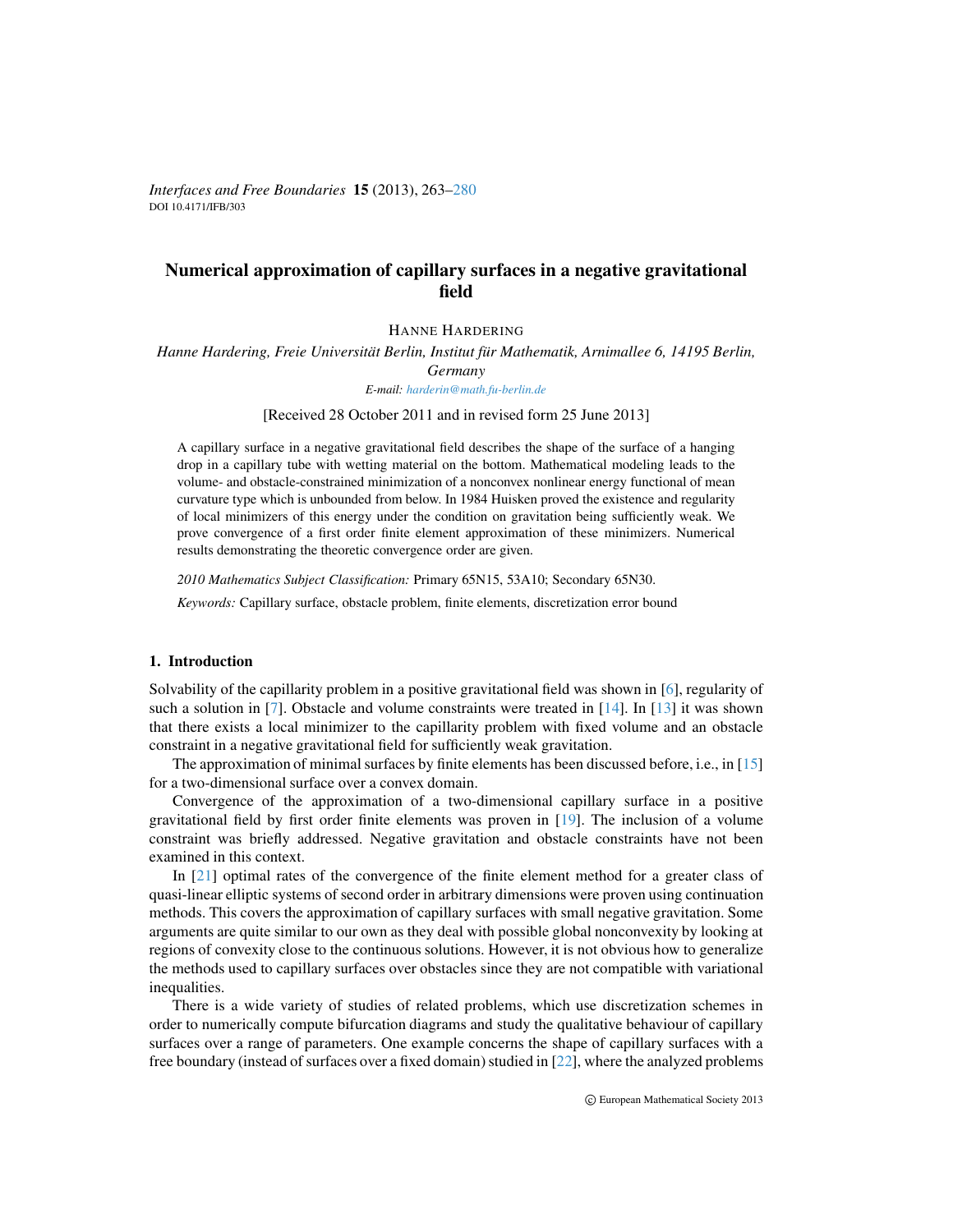*Interfaces and Free Boundaries* 15 (2013), 263[–280](#page-17-0) DOI 10.4171/IFB/303

# Numerical approximation of capillary surfaces in a negative gravitational field

HANNE HARDERING

*Hanne Hardering, Freie Universität Berlin, Institut für Mathematik, Arnimallee 6, 14195 Berlin,* 

*Germany*

*E-mail: [harderin@math.fu-berlin.de](mailto:harderin@math.fu-berlin.de)*

[Received 28 October 2011 and in revised form 25 June 2013]

A capillary surface in a negative gravitational field describes the shape of the surface of a hanging drop in a capillary tube with wetting material on the bottom. Mathematical modeling leads to the volume- and obstacle-constrained minimization of a nonconvex nonlinear energy functional of mean curvature type which is unbounded from below. In 1984 Huisken proved the existence and regularity of local minimizers of this energy under the condition on gravitation being sufficiently weak. We prove convergence of a first order finite element approximation of these minimizers. Numerical results demonstrating the theoretic convergence order are given.

*2010 Mathematics Subject Classification:* Primary 65N15, 53A10; Secondary 65N30.

*Keywords:* Capillary surface, obstacle problem, finite elements, discretization error bound

### 1. Introduction

Solvability of the capillarity problem in a positive gravitational field was shown in [\[6\]](#page-17-1), regularity of such a solution in [\[7\]](#page-17-2). Obstacle and volume constraints were treated in [\[14\]](#page-17-3). In [\[13\]](#page-17-4) it was shown that there exists a local minimizer to the capillarity problem with fixed volume and an obstacle constraint in a negative gravitational field for sufficiently weak gravitation.

The approximation of minimal surfaces by finite elements has been discussed before, i.e., in [\[15\]](#page-17-5) for a two-dimensional surface over a convex domain.

Convergence of the approximation of a two-dimensional capillary surface in a positive gravitational field by first order finite elements was proven in [\[19\]](#page-17-6). The inclusion of a volume constraint was briefly addressed. Negative gravitation and obstacle constraints have not been examined in this context.

In [\[21\]](#page-17-7) optimal rates of the convergence of the finite element method for a greater class of quasi-linear elliptic systems of second order in arbitrary dimensions were proven using continuation methods. This covers the approximation of capillary surfaces with small negative gravitation. Some arguments are quite similar to our own as they deal with possible global nonconvexity by looking at regions of convexity close to the continuous solutions. However, it is not obvious how to generalize the methods used to capillary surfaces over obstacles since they are not compatible with variational inequalities.

There is a wide variety of studies of related problems, which use discretization schemes in order to numerically compute bifurcation diagrams and study the qualitative behaviour of capillary surfaces over a range of parameters. One example concerns the shape of capillary surfaces with a free boundary (instead of surfaces over a fixed domain) studied in [\[22\]](#page-17-8), where the analyzed problems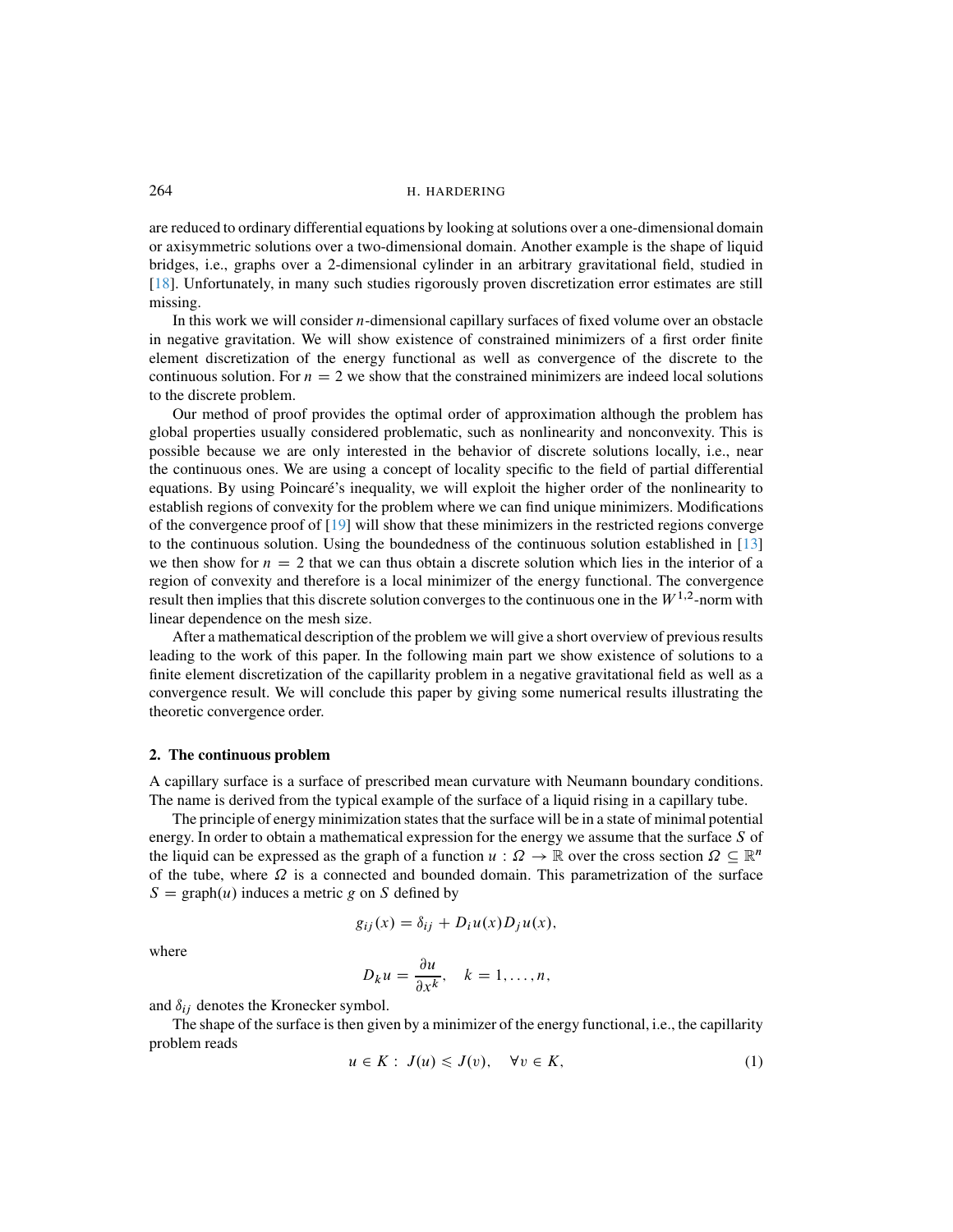are reduced to ordinary differential equations by looking at solutions over a one-dimensional domain or axisymmetric solutions over a two-dimensional domain. Another example is the shape of liquid bridges, i.e., graphs over a 2-dimensional cylinder in an arbitrary gravitational field, studied in [\[18\]](#page-17-9). Unfortunately, in many such studies rigorously proven discretization error estimates are still missing.

In this work we will consider  $n$ -dimensional capillary surfaces of fixed volume over an obstacle in negative gravitation. We will show existence of constrained minimizers of a first order finite element discretization of the energy functional as well as convergence of the discrete to the continuous solution. For  $n = 2$  we show that the constrained minimizers are indeed local solutions to the discrete problem.

Our method of proof provides the optimal order of approximation although the problem has global properties usually considered problematic, such as nonlinearity and nonconvexity. This is possible because we are only interested in the behavior of discrete solutions locally, i.e., near the continuous ones. We are using a concept of locality specific to the field of partial differential equations. By using Poincaré's inequality, we will exploit the higher order of the nonlinearity to establish regions of convexity for the problem where we can find unique minimizers. Modifications of the convergence proof of  $[19]$  will show that these minimizers in the restricted regions converge to the continuous solution. Using the boundedness of the continuous solution established in [\[13\]](#page-17-4) we then show for  $n = 2$  that we can thus obtain a discrete solution which lies in the interior of a region of convexity and therefore is a local minimizer of the energy functional. The convergence result then implies that this discrete solution converges to the continuous one in the  $W^{1,2}$ -norm with linear dependence on the mesh size.

After a mathematical description of the problem we will give a short overview of previous results leading to the work of this paper. In the following main part we show existence of solutions to a finite element discretization of the capillarity problem in a negative gravitational field as well as a convergence result. We will conclude this paper by giving some numerical results illustrating the theoretic convergence order.

#### 2. The continuous problem

A capillary surface is a surface of prescribed mean curvature with Neumann boundary conditions. The name is derived from the typical example of the surface of a liquid rising in a capillary tube.

The principle of energy minimization states that the surface will be in a state of minimal potential energy. In order to obtain a mathematical expression for the energy we assume that the surface  $S$  of the liquid can be expressed as the graph of a function  $u : \Omega \to \mathbb{R}$  over the cross section  $\Omega \subseteq \mathbb{R}^n$ of the tube, where  $\Omega$  is a connected and bounded domain. This parametrization of the surface  $S = \text{graph}(u)$  induces a metric g on S defined by

$$
g_{ij}(x) = \delta_{ij} + D_i u(x) D_j u(x),
$$

where

$$
D_k u = \frac{\partial u}{\partial x^k}, \quad k = 1, \dots, n,
$$

and  $\delta_{ij}$  denotes the Kronecker symbol.

<span id="page-1-0"></span>The shape of the surface is then given by a minimizer of the energy functional, i.e., the capillarity problem reads

$$
u \in K: J(u) \leqslant J(v), \quad \forall v \in K,
$$
\n<sup>(1)</sup>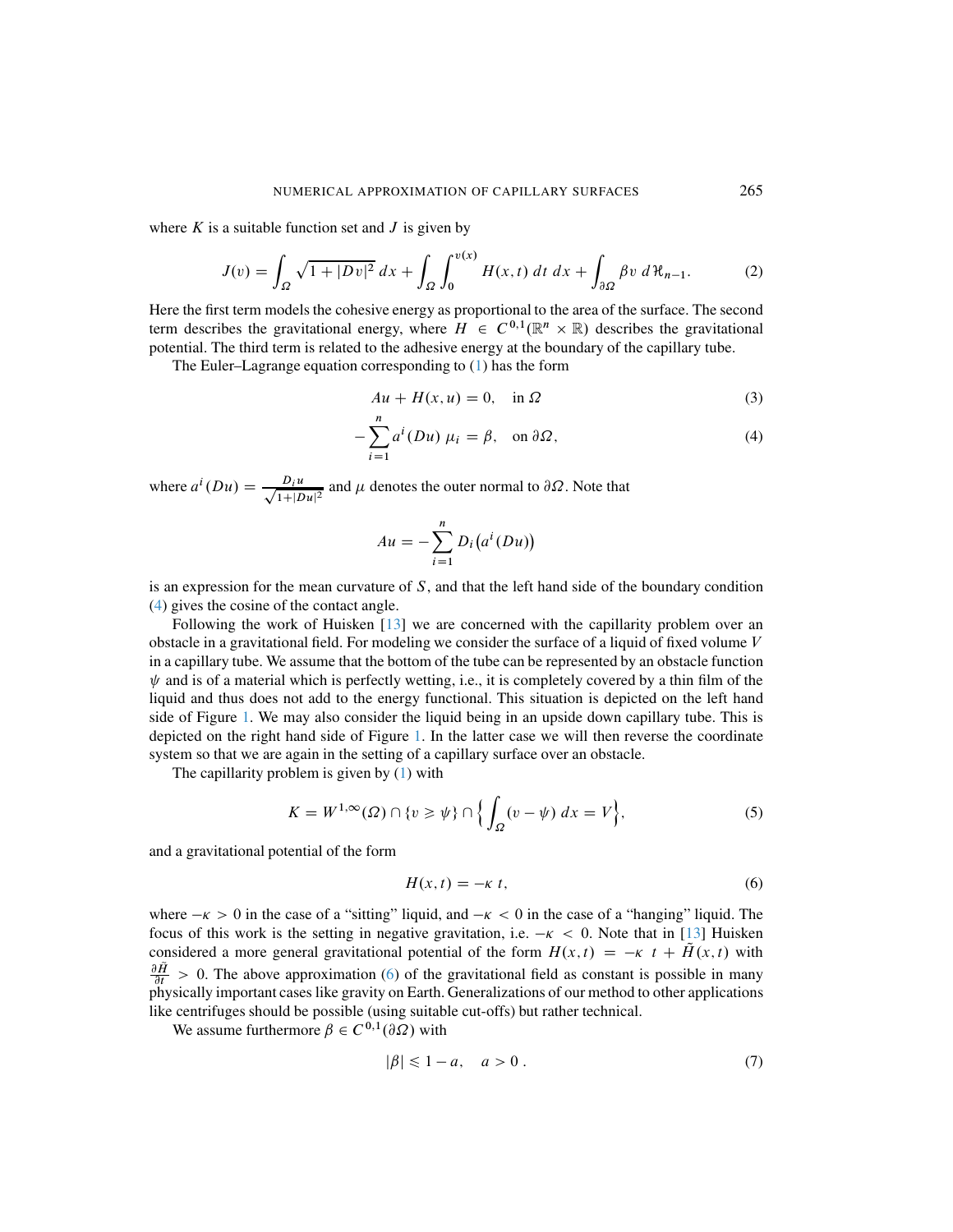where  $K$  is a suitable function set and  $J$  is given by

$$
J(v) = \int_{\Omega} \sqrt{1+|Dv|^2} dx + \int_{\Omega} \int_0^{v(x)} H(x,t) dt dx + \int_{\partial \Omega} \beta v d\mathcal{H}_{n-1}.
$$
 (2)

Here the first term models the cohesive energy as proportional to the area of the surface. The second term describes the gravitational energy, where  $H \in C^{0,1}(\mathbb{R}^n \times \mathbb{R})$  describes the gravitational potential. The third term is related to the adhesive energy at the boundary of the capillary tube.

The Euler–Lagrange equation corresponding to [\(1\)](#page-1-0) has the form

<span id="page-2-2"></span><span id="page-2-0"></span>
$$
Au + H(x, u) = 0, \quad \text{in } \Omega \tag{3}
$$

$$
-\sum_{i=1}^{n} a^{i} (Du) \mu_{i} = \beta, \text{ on } \partial \Omega,
$$
\n(4)

where  $a^i(Du) = \frac{D_i u}{\sqrt{1+|D|}}$  $\frac{D_i u}{1+|Du|^2}$  and  $\mu$  denotes the outer normal to  $\partial \Omega$ . Note that

$$
Au = -\sum_{i=1}^{n} D_i (a^i (Du))
$$

is an expression for the mean curvature of  $S$ , and that the left hand side of the boundary condition [\(4\)](#page-2-0) gives the cosine of the contact angle.

Following the work of Huisken [\[13\]](#page-17-4) we are concerned with the capillarity problem over an obstacle in a gravitational field. For modeling we consider the surface of a liquid of fixed volume  $V$ in a capillary tube. We assume that the bottom of the tube can be represented by an obstacle function  $\psi$  and is of a material which is perfectly wetting, i.e., it is completely covered by a thin film of the liquid and thus does not add to the energy functional. This situation is depicted on the left hand side of Figure [1.](#page-3-0) We may also consider the liquid being in an upside down capillary tube. This is depicted on the right hand side of Figure [1.](#page-3-0) In the latter case we will then reverse the coordinate system so that we are again in the setting of a capillary surface over an obstacle.

The capillarity problem is given by [\(1\)](#page-1-0) with

$$
K = W^{1,\infty}(\Omega) \cap \{v \ge \psi\} \cap \left\{\int_{\Omega} (v - \psi) \, dx = V\right\},\tag{5}
$$

and a gravitational potential of the form

<span id="page-2-3"></span><span id="page-2-1"></span>
$$
H(x,t) = -\kappa \ t,\tag{6}
$$

where  $-\kappa > 0$  in the case of a "sitting" liquid, and  $-\kappa < 0$  in the case of a "hanging" liquid. The focus of this work is the setting in negative gravitation, i.e.  $-\kappa < 0$ . Note that in [\[13\]](#page-17-4) Huisken considered a more general gravitational potential of the form  $H(x,t) = -\kappa t + \tilde{H}(x,t)$  with  $\frac{\partial \tilde{H}}{\partial t} > 0$ . The above approximation [\(6\)](#page-2-1) of the gravitational field as constant is possible in many physically important cases like gravity on Earth. Generalizations of our method to other applications like centrifuges should be possible (using suitable cut-offs) but rather technical.

We assume furthermore  $\beta \in C^{0,1}(\partial \Omega)$  with

<span id="page-2-4"></span>
$$
|\beta| \leq 1 - a, \quad a > 0 \tag{7}
$$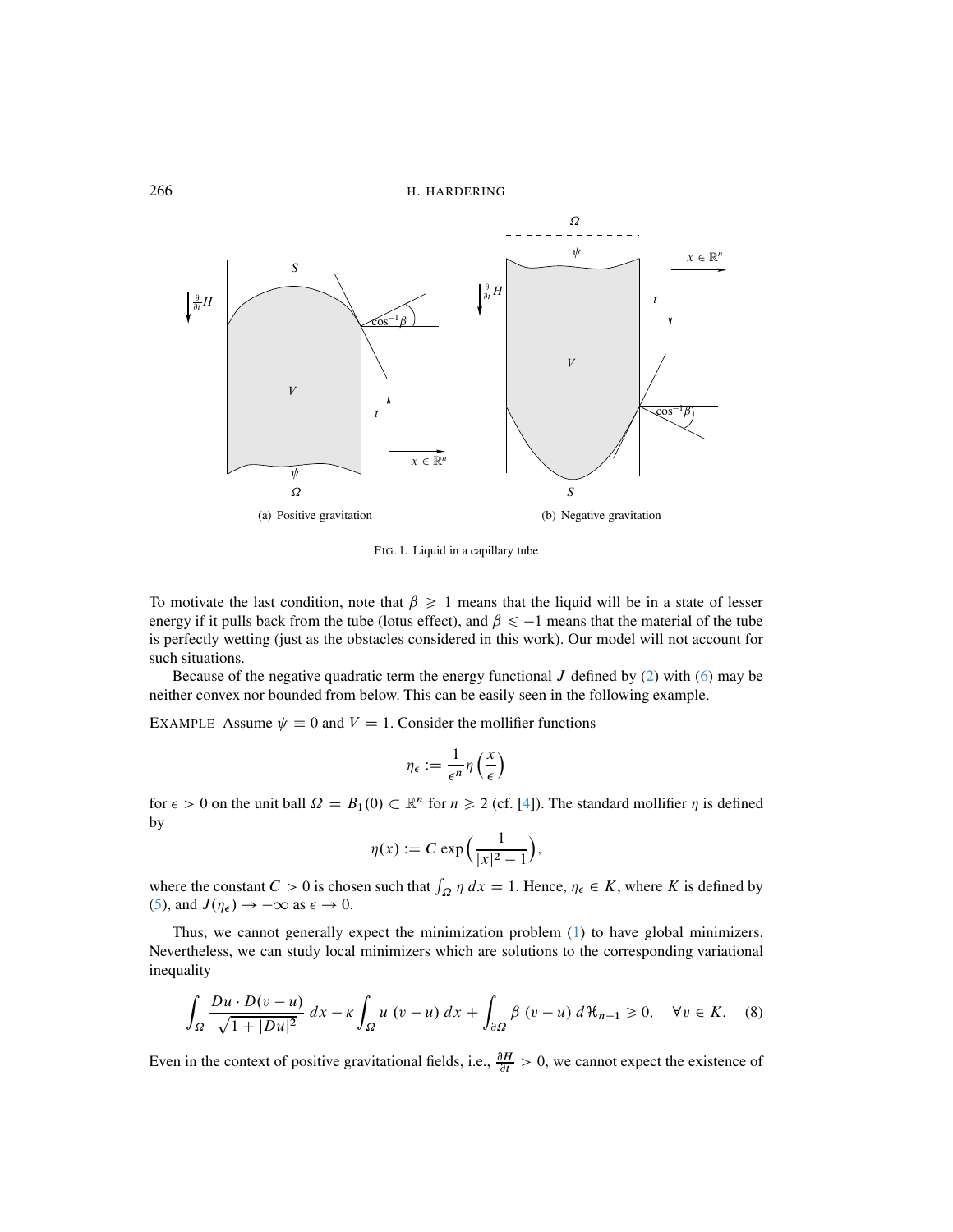266 H. HARDERING



<span id="page-3-0"></span>FIG. 1. Liquid in a capillary tube

To motivate the last condition, note that  $\beta \geq 1$  means that the liquid will be in a state of lesser energy if it pulls back from the tube (lotus effect), and  $\beta \le -1$  means that the material of the tube is perfectly wetting (just as the obstacles considered in this work). Our model will not account for such situations.

Because of the negative quadratic term the energy functional  $J$  defined by [\(2\)](#page-2-2) with [\(6\)](#page-2-1) may be neither convex nor bounded from below. This can be easily seen in the following example.

EXAMPLE Assume  $\psi \equiv 0$  and  $V = 1$ . Consider the mollifier functions

$$
\eta_{\epsilon} := \frac{1}{\epsilon^n} \eta\left(\frac{x}{\epsilon}\right)
$$

for  $\epsilon > 0$  on the unit ball  $\Omega = B_1(0) \subset \mathbb{R}^n$  for  $n \ge 2$  (cf. [\[4\]](#page-17-10)). The standard mollifier  $\eta$  is defined by

$$
\eta(x) := C \exp\left(\frac{1}{|x|^2 - 1}\right),\,
$$

where the constant  $C > 0$  is chosen such that  $\int_{\Omega} \eta \, dx = 1$ . Hence,  $\eta_{\epsilon} \in K$ , where K is defined by [\(5\)](#page-2-3), and  $J(\eta_{\epsilon}) \rightarrow -\infty$  as  $\epsilon \rightarrow 0$ .

Thus, we cannot generally expect the minimization problem [\(1\)](#page-1-0) to have global minimizers. Nevertheless, we can study local minimizers which are solutions to the corresponding variational inequality

<span id="page-3-1"></span>
$$
\int_{\Omega} \frac{Du \cdot D(v - u)}{\sqrt{1 + |Du|^2}} dx - \kappa \int_{\Omega} u \ (v - u) \ dx + \int_{\partial \Omega} \beta \ (v - u) \ d\mathcal{H}_{n-1} \ge 0, \quad \forall v \in K. \tag{8}
$$

Even in the context of positive gravitational fields, i.e.,  $\frac{\partial H}{\partial t} > 0$ , we cannot expect the existence of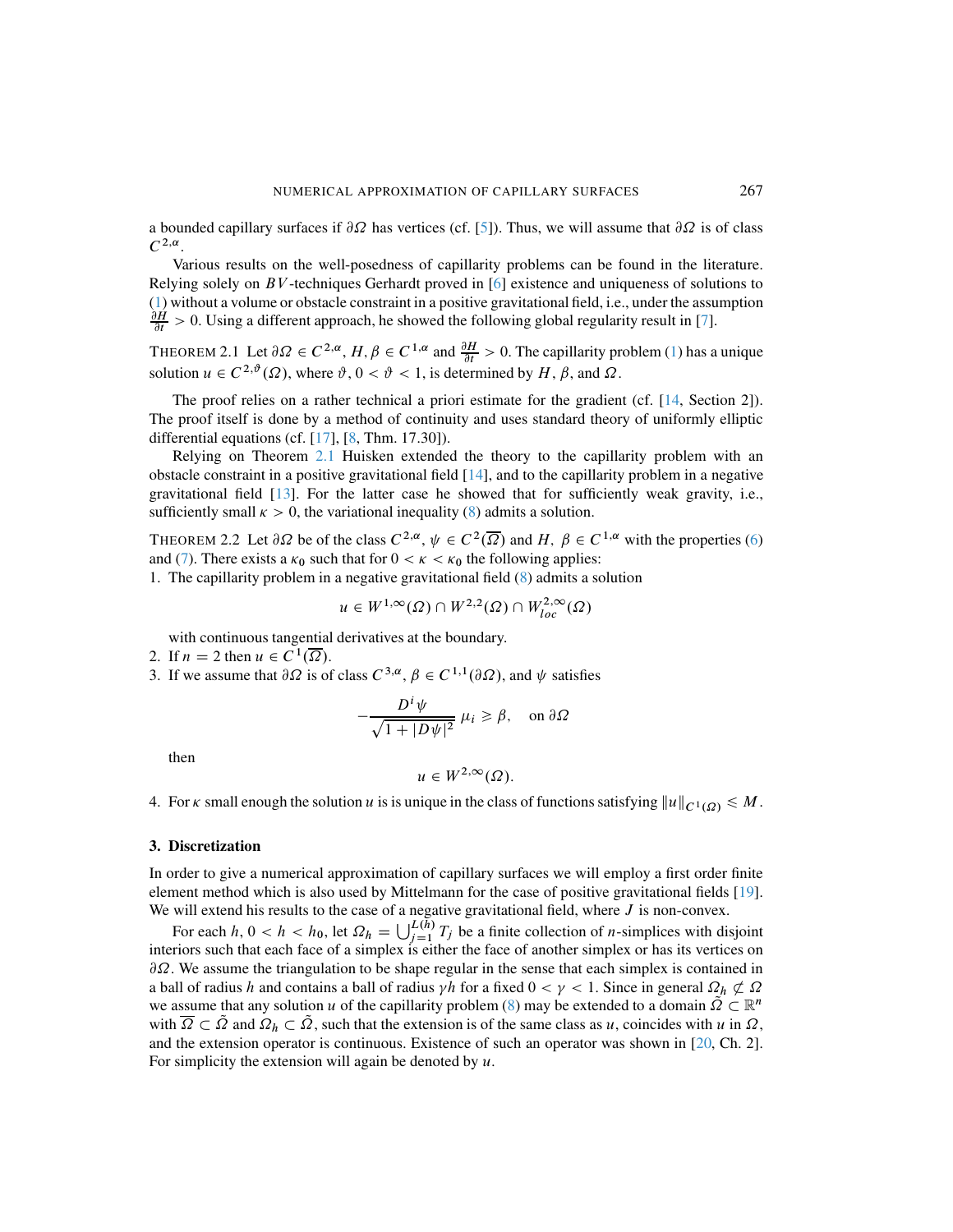a bounded capillary surfaces if  $\partial\Omega$  has vertices (cf. [\[5\]](#page-17-11)). Thus, we will assume that  $\partial\Omega$  is of class  $C^{2,\alpha}$ .

Various results on the well-posedness of capillarity problems can be found in the literature. Relying solely on  $BV$ -techniques Gerhardt proved in [\[6\]](#page-17-1) existence and uniqueness of solutions to [\(1\)](#page-1-0) without a volume or obstacle constraint in a positive gravitational field, i.e., under the assumption  $\frac{\partial H}{\partial t} > 0$ . Using a different approach, he showed the following global regularity result in [\[7\]](#page-17-2).

<span id="page-4-0"></span>THEOREM 2.1 Let  $\partial \Omega \in C^{2,\alpha}$ ,  $H, \beta \in C^{1,\alpha}$  and  $\frac{\partial H}{\partial t} > 0$ . The capillarity problem [\(1\)](#page-1-0) has a unique solution  $u \in C^{2,\vartheta}(\Omega)$ , where  $\vartheta, 0 < \vartheta < 1$ , is determined by  $H, \beta$ , and  $\Omega$ .

The proof relies on a rather technical a priori estimate for the gradient (cf. [\[14,](#page-17-3) Section 2]). The proof itself is done by a method of continuity and uses standard theory of uniformly elliptic differential equations (cf.  $[17]$ ,  $[8]$ , Thm. 17.30]).

Relying on Theorem [2.1](#page-4-0) Huisken extended the theory to the capillarity problem with an obstacle constraint in a positive gravitational field  $[14]$ , and to the capillarity problem in a negative gravitational field [\[13\]](#page-17-4). For the latter case he showed that for sufficiently weak gravity, i.e., sufficiently small  $\kappa > 0$ , the variational inequality [\(8\)](#page-3-1) admits a solution.

<span id="page-4-1"></span>THEOREM 2.2 Let  $\partial \Omega$  be of the class  $C^{2,\alpha}, \psi \in C^2(\overline{\Omega})$  and H;  $\beta \in C^{1,\alpha}$  with the properties [\(6\)](#page-2-1) and [\(7\)](#page-2-4). There exists a  $\kappa_0$  such that for  $0 < \kappa < \kappa_0$  the following applies:

1. The capillarity problem in a negative gravitational field [\(8\)](#page-3-1) admits a solution

$$
u \in W^{1,\infty}(\Omega) \cap W^{2,2}(\Omega) \cap W^{2,\infty}_{loc}(\Omega)
$$

with continuous tangential derivatives at the boundary.

- 2. If  $n = 2$  then  $u \in C^1(\overline{\Omega})$ .
- 3. If we assume that  $\partial \Omega$  is of class  $C^{3,\alpha}, \beta \in C^{1,1}(\partial \Omega)$ , and  $\psi$  satisfies

$$
-\frac{D^i\psi}{\sqrt{1+|D\psi|^2}}\ \mu_i \ge \beta, \quad \text{on } \partial\Omega
$$

then

$$
u\in W^{2,\infty}(\Omega).
$$

4. For  $\kappa$  small enough the solution u is is unique in the class of functions satisfying  $||u||_{C^1(\Omega)} \leq M$ .

#### 3. Discretization

In order to give a numerical approximation of capillary surfaces we will employ a first order finite element method which is also used by Mittelmann for the case of positive gravitational fields [\[19\]](#page-17-6). We will extend his results to the case of a negative gravitational field, where  $J$  is non-convex.

For each  $h, 0 < h < h_0$ , let  $\Omega_h = \bigcup_{j=1}^{L(h)} T_j$  be a finite collection of *n*-simplices with disjoint interiors such that each face of a simplex is either the face of another simplex or has its vertices on  $\partial\Omega$ . We assume the triangulation to be shape regular in the sense that each simplex is contained in a ball of radius h and contains a ball of radius  $\gamma h$  for a fixed  $0 < \gamma < 1$ . Since in general  $\Omega_h \not\subset \Omega$ we assume that any solution u of the capillarity problem [\(8\)](#page-3-1) may be extended to a domain  $\tilde{Q} \subset \mathbb{R}^n$ with  $\overline{\Omega} \subset \overline{\Omega}$  and  $\Omega_h \subset \overline{\Omega}$ , such that the extension is of the same class as u, coincides with u in  $\Omega$ , and the extension operator is continuous. Existence of such an operator was shown in [\[20,](#page-17-14) Ch. 2]. For simplicity the extension will again be denoted by  $u$ .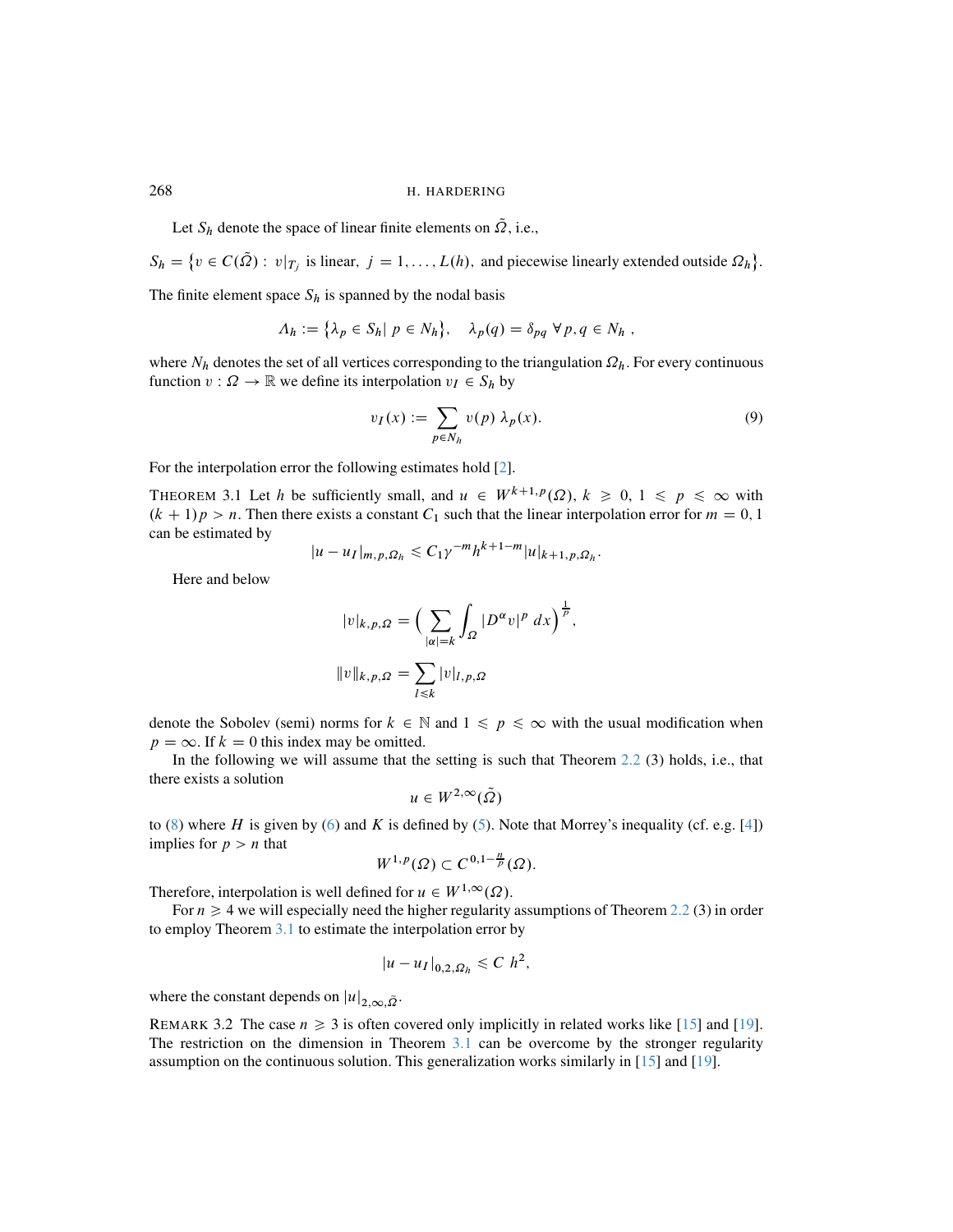Let  $S_h$  denote the space of linear finite elements on  $\Omega$ , i.e.,

 $S_h = \{v \in C(\Omega) : v|_{T_j} \text{ is linear}, j = 1, ..., L(h) \text{, and piecewise linearly extended outside } \Omega_h \}.$ 

The finite element space  $S_h$  is spanned by the nodal basis

$$
\Lambda_h := \{ \lambda_p \in S_h | p \in N_h \}, \quad \lambda_p(q) = \delta_{pq} \ \forall p, q \in N_h ,
$$

where  $N_h$  denotes the set of all vertices corresponding to the triangulation  $\Omega_h$ . For every continuous function  $v : \Omega \to \mathbb{R}$  we define its interpolation  $v_I \in S_h$  by

$$
v_I(x) := \sum_{p \in N_h} v(p) \lambda_p(x). \tag{9}
$$

;

For the interpolation error the following estimates hold [\[2\]](#page-16-0).

<span id="page-5-0"></span>THEOREM 3.1 Let h be sufficiently small, and  $u \in W^{k+1,p}(\Omega)$ ,  $k \geq 0, 1 \leq p \leq \infty$  with  $(k + 1)p > n$ . Then there exists a constant C<sub>1</sub> such that the linear interpolation error for  $m = 0, 1$ can be estimated by

$$
|u-u_I|_{m,p,\Omega_h} \leq C_1 \gamma^{-m} h^{k+1-m} |u|_{k+1,p,\Omega_h}.
$$

Here and below

$$
|v|_{k,p,\Omega} = \left(\sum_{|\alpha|=k} \int_{\Omega} |D^{\alpha}v|^p \, dx\right)^{\frac{1}{p}}
$$

$$
||v||_{k,p,\Omega} = \sum_{l \le k} |v|_{l,p,\Omega}
$$

denote the Sobolev (semi) norms for  $k \in \mathbb{N}$  and  $1 \leq p \leq \infty$  with the usual modification when  $p = \infty$ . If  $k = 0$  this index may be omitted.

In the following we will assume that the setting is such that Theorem [2.2](#page-4-1) (3) holds, i.e., that there exists a solution

$$
u\in W^{2,\infty}(\tilde{\varOmega})
$$

to [\(8\)](#page-3-1) where H is given by [\(6\)](#page-2-1) and K is defined by [\(5\)](#page-2-3). Note that Morrey's inequality (cf. e.g. [\[4\]](#page-17-10)) implies for  $p > n$  that

$$
W^{1,p}(\Omega) \subset C^{0,1-\frac{n}{p}}(\Omega).
$$

Therefore, interpolation is well defined for  $u \in W^{1,\infty}(\Omega)$ .

For  $n \geq 4$  we will especially need the higher regularity assumptions of Theorem [2.2](#page-4-1) (3) in order to employ Theorem [3.1](#page-5-0) to estimate the interpolation error by

$$
|u-u_I|_{0,2,\Omega_h}\leqslant C h^2,
$$

where the constant depends on  $|u|_{2,\infty,\tilde{\Omega}}$ .

REMARK 3.2 The case  $n \ge 3$  is often covered only implicitly in related works like [\[15\]](#page-17-5) and [\[19\]](#page-17-6). The restriction on the dimension in Theorem [3.1](#page-5-0) can be overcome by the stronger regularity assumption on the continuous solution. This generalization works similarly in [\[15\]](#page-17-5) and [\[19\]](#page-17-6).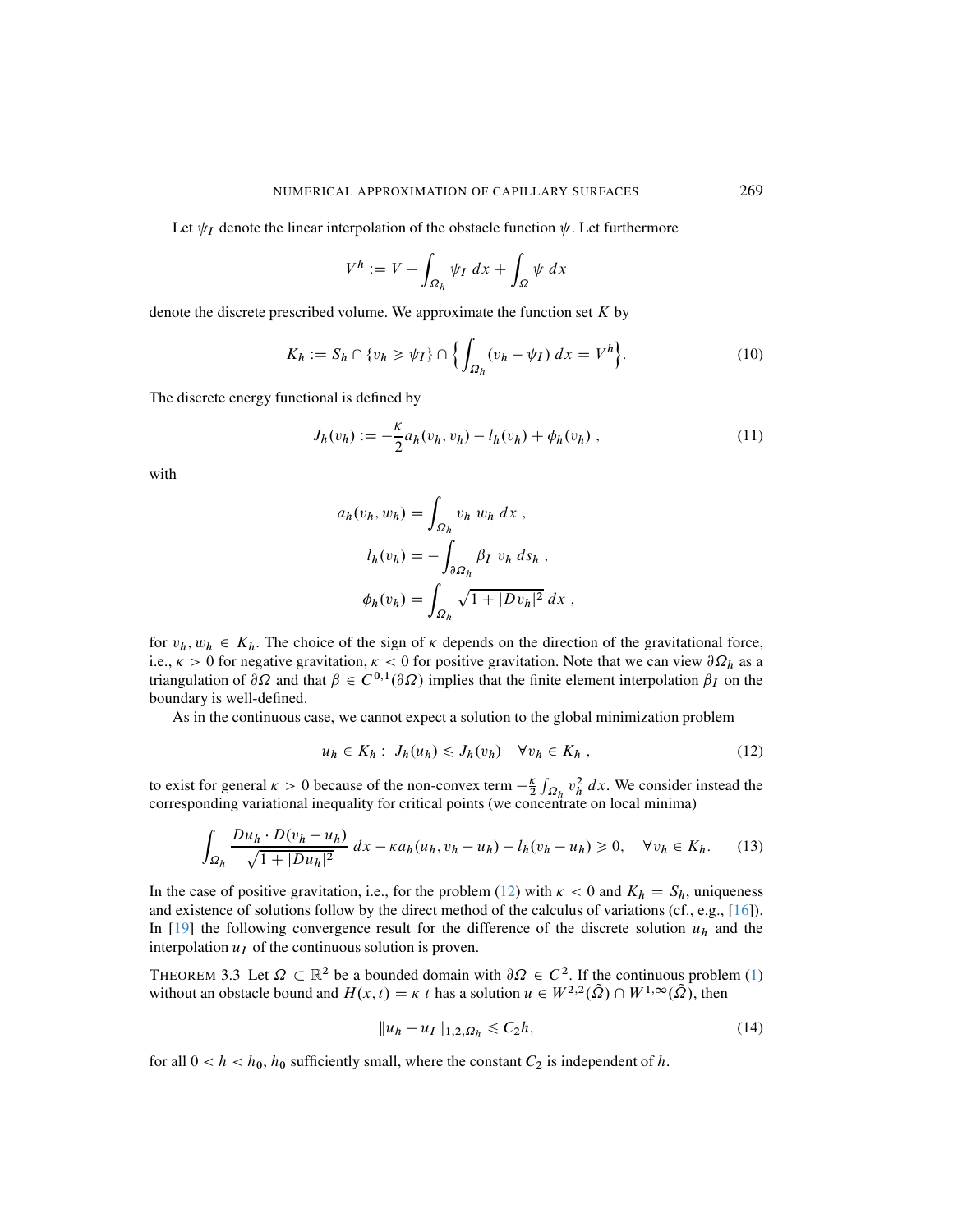Let  $\psi_I$  denote the linear interpolation of the obstacle function  $\psi$ . Let furthermore

$$
V^h := V - \int_{\Omega_h} \psi_I \, dx + \int_{\Omega} \psi \, dx
$$

denote the discrete prescribed volume. We approximate the function set  $K$  by

$$
K_h := S_h \cap \{v_h \ge \psi_I\} \cap \left\{\int_{\Omega_h} (v_h - \psi_I) \, dx = V^h\right\}.
$$
 (10)

The discrete energy functional is defined by

<span id="page-6-2"></span>
$$
J_h(v_h) := -\frac{\kappa}{2} a_h(v_h, v_h) - l_h(v_h) + \phi_h(v_h) , \qquad (11)
$$

with

$$
a_h(v_h, w_h) = \int_{\Omega_h} v_h w_h dx,
$$
  
\n
$$
l_h(v_h) = -\int_{\partial \Omega_h} \beta_I v_h ds_h,
$$
  
\n
$$
\phi_h(v_h) = \int_{\Omega_h} \sqrt{1 + |Dv_h|^2} dx,
$$

for  $v_h$ ,  $w_h \in K_h$ . The choice of the sign of  $\kappa$  depends on the direction of the gravitational force, i.e.,  $\kappa > 0$  for negative gravitation,  $\kappa < 0$  for positive gravitation. Note that we can view  $\partial \Omega_h$  as a triangulation of  $\partial \Omega$  and that  $\beta \in C^{0,1}(\partial \Omega)$  implies that the finite element interpolation  $\beta_I$  on the boundary is well-defined.

As in the continuous case, we cannot expect a solution to the global minimization problem

<span id="page-6-1"></span><span id="page-6-0"></span>
$$
u_h \in K_h: J_h(u_h) \le J_h(v_h) \quad \forall v_h \in K_h , \qquad (12)
$$

to exist for general  $\kappa > 0$  because of the non-convex term  $-\frac{\kappa}{2} \int_{\Omega_h} v_h^2 dx$ . We consider instead the corresponding variational inequality for critical points (we concentrate on local minima)

$$
\int_{\Omega_h} \frac{Du_h \cdot D(v_h - u_h)}{\sqrt{1 + |Du_h|^2}} dx - \kappa a_h(u_h, v_h - u_h) - l_h(v_h - u_h) \ge 0, \quad \forall v_h \in K_h. \tag{13}
$$

In the case of positive gravitation, i.e., for the problem [\(12\)](#page-6-0) with  $\kappa < 0$  and  $K_h = S_h$ , uniqueness and existence of solutions follow by the direct method of the calculus of variations (cf., e.g., [\[16\]](#page-17-15)). In  $[19]$  the following convergence result for the difference of the discrete solution  $u_h$  and the interpolation  $u_I$  of the continuous solution is proven.

<span id="page-6-3"></span>THEOREM 3.3 Let  $\Omega \subset \mathbb{R}^2$  be a bounded domain with  $\partial \Omega \in C^2$ . If the continuous problem [\(1\)](#page-1-0) without an obstacle bound and  $H(x, t) = \kappa t$  has a solution  $u \in W^{2,2}(\tilde{\Omega}) \cap W^{1,\infty}(\tilde{\Omega})$ , then

$$
||u_h - u_I||_{1,2,\Omega_h} \le C_2 h,\tag{14}
$$

for all  $0 < h < h_0$ ,  $h_0$  sufficiently small, where the constant  $C_2$  is independent of h.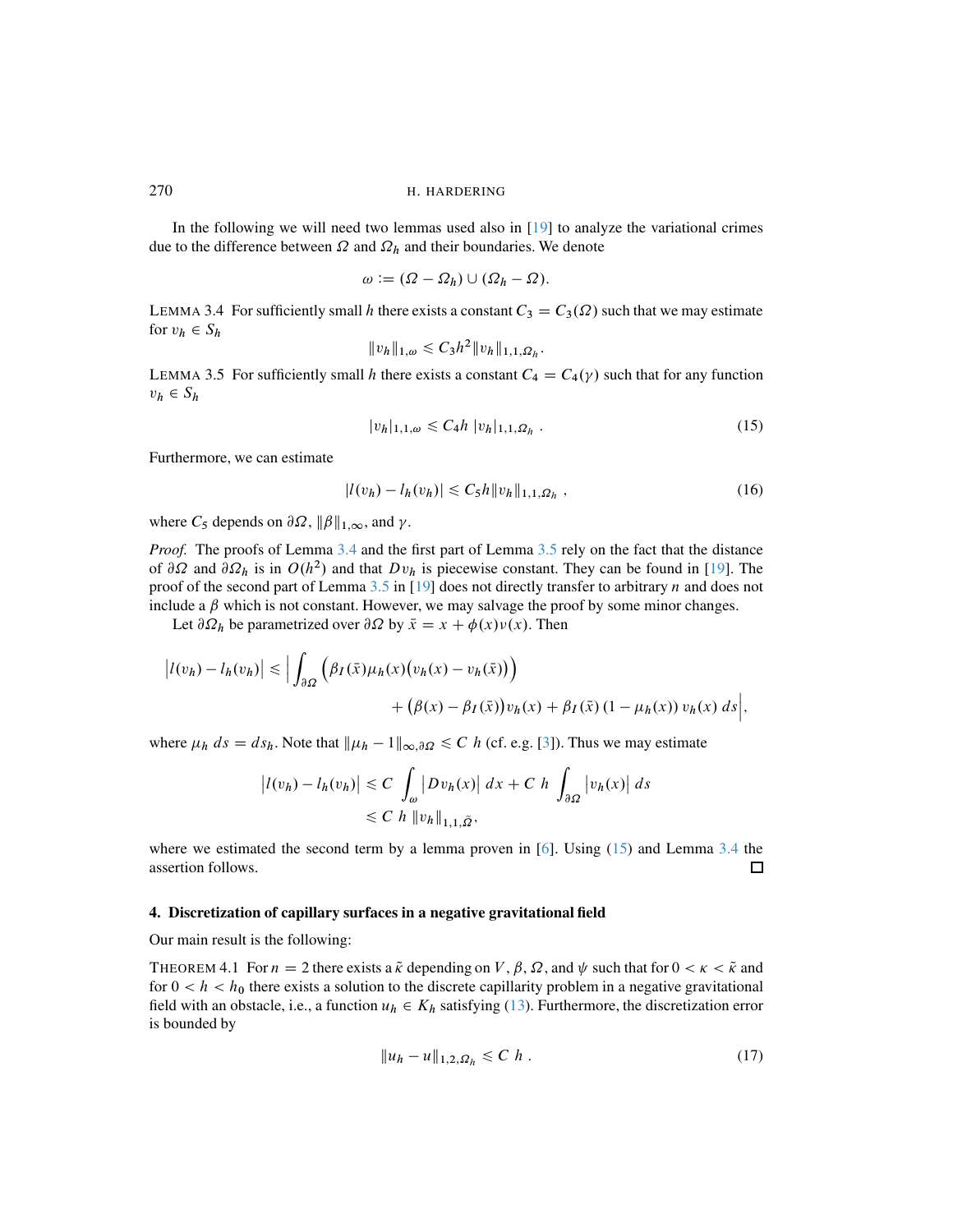In the following we will need two lemmas used also in [\[19\]](#page-17-6) to analyze the variational crimes due to the difference between  $\Omega$  and  $\Omega_h$  and their boundaries. We denote

$$
\omega := (\Omega - \Omega_h) \cup (\Omega_h - \Omega).
$$

<span id="page-7-0"></span>LEMMA 3.4 For sufficiently small h there exists a constant  $C_3 = C_3(\Omega)$  such that we may estimate for  $v_h \in S_h$ 

$$
||v_h||_{1,\omega} \leq C_3 h^2 ||v_h||_{1,1,\Omega_h}.
$$

<span id="page-7-1"></span>LEMMA 3.5 For sufficiently small h there exists a constant  $C_4 = C_4(\gamma)$  such that for any function  $v_h \in S_h$ 

<span id="page-7-2"></span>
$$
|v_h|_{1,1,\omega} \leq C_4 h |v_h|_{1,1,\Omega_h} . \tag{15}
$$

Furthermore, we can estimate

$$
|l(v_h) - l_h(v_h)| \leq C_5 h \|v_h\|_{1,1,\Omega_h} \tag{16}
$$

where  $C_5$  depends on  $\partial\Omega$ ,  $\|\beta\|_{1,\infty}$ , and  $\gamma$ .

*Proof.* The proofs of Lemma [3.4](#page-7-0) and the first part of Lemma [3.5](#page-7-1) rely on the fact that the distance of  $\partial\Omega$  and  $\partial\Omega_h$  is in  $O(h^2)$  and that  $Dv_h$  is piecewise constant. They can be found in [\[19\]](#page-17-6). The proof of the second part of Lemma  $3.5$  in [\[19\]](#page-17-6) does not directly transfer to arbitrary n and does not include a  $\beta$  which is not constant. However, we may salvage the proof by some minor changes.

Let  $\partial \Omega_h$  be parametrized over  $\partial \Omega$  by  $\bar{x} = x + \phi(x)v(x)$ . Then

$$
\left| l(v_h) - l_h(v_h) \right| \le \left| \int_{\partial \Omega} \left( \beta_I(\bar{x}) \mu_h(x) \big( v_h(x) - v_h(\bar{x}) \big) \right) + \left( \beta(x) - \beta_I(\bar{x}) \big) v_h(x) + \beta_I(\bar{x}) \left( 1 - \mu_h(x) \right) v_h(x) \, ds \right|,
$$

where  $\mu_h ds = ds_h$ . Note that  $\|\mu_h - 1\|_{\infty, \partial\Omega} \leq C h$  (cf. e.g. [\[3\]](#page-16-1)). Thus we may estimate

$$
\left| l(v_h) - l_h(v_h) \right| \leq C \int_{\omega} \left| Dv_h(x) \right| dx + C \ h \int_{\partial \Omega} \left| v_h(x) \right| ds
$$
  
 
$$
\leq C \ h \left\| v_h \right\|_{1,1,\tilde{\Omega}},
$$

where we estimated the second term by a lemma proven in  $[6]$ . Using  $(15)$  and Lemma [3.4](#page-7-0) the assertion follows.  $\Box$ 

#### 4. Discretization of capillary surfaces in a negative gravitational field

Our main result is the following:

<span id="page-7-3"></span>THEOREM 4.1 For  $n = 2$  there exists a  $\tilde{\kappa}$  depending on  $V, \beta, \Omega$ , and  $\psi$  such that for  $0 < \kappa < \tilde{\kappa}$  and for  $0 < h < h_0$  there exists a solution to the discrete capillarity problem in a negative gravitational field with an obstacle, i.e., a function  $u_h \in K_h$  satisfying [\(13\)](#page-6-1). Furthermore, the discretization error is bounded by

<span id="page-7-4"></span>
$$
||u_h - u||_{1,2,\Omega_h} \leq C \; h \; . \tag{17}
$$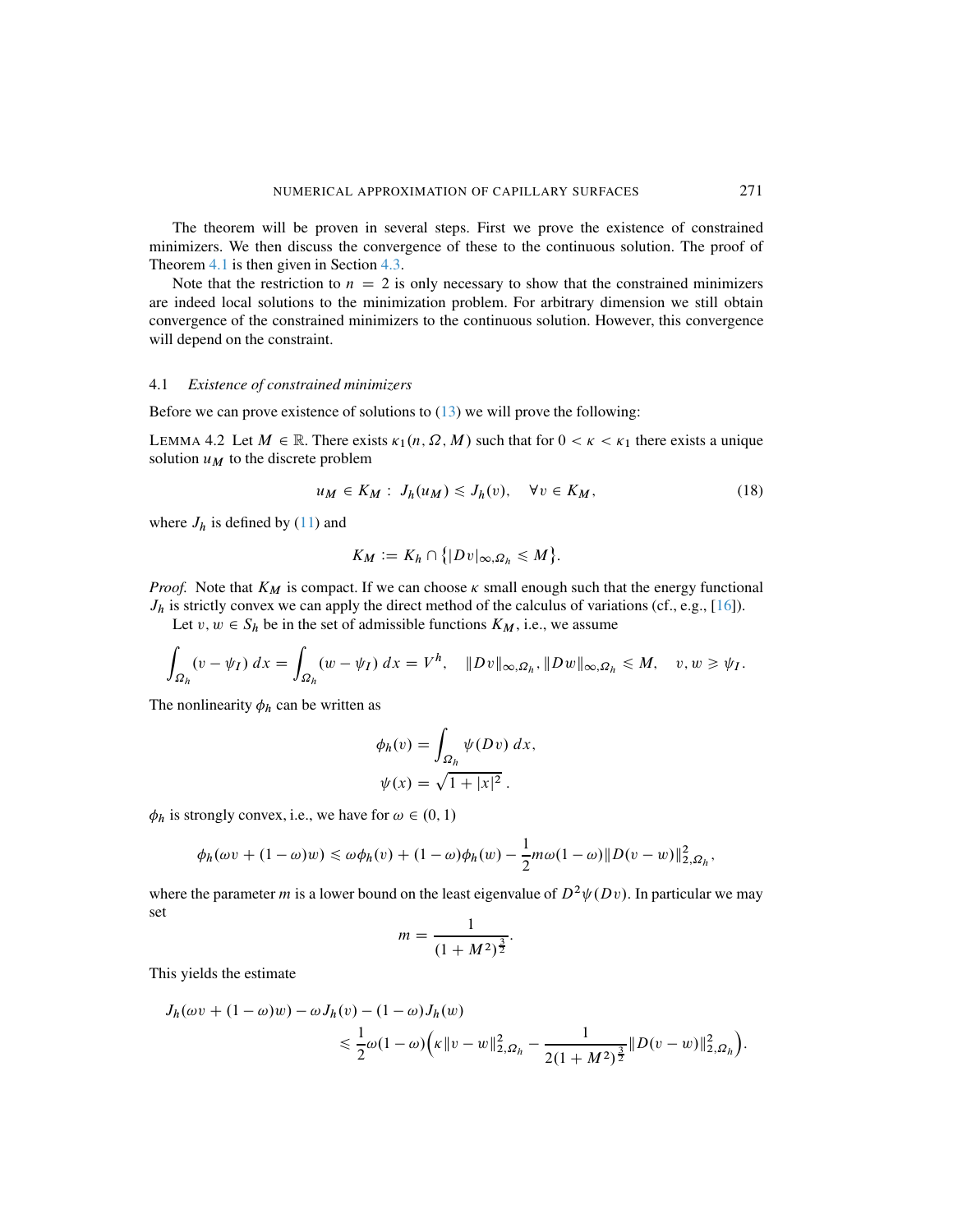The theorem will be proven in several steps. First we prove the existence of constrained minimizers. We then discuss the convergence of these to the continuous solution. The proof of Theorem [4.1](#page-7-3) is then given in Section [4.3.](#page-14-0)

Note that the restriction to  $n = 2$  is only necessary to show that the constrained minimizers are indeed local solutions to the minimization problem. For arbitrary dimension we still obtain convergence of the constrained minimizers to the continuous solution. However, this convergence will depend on the constraint.

#### 4.1 *Existence of constrained minimizers*

Before we can prove existence of solutions to  $(13)$  we will prove the following:

<span id="page-8-0"></span>LEMMA 4.2 Let  $M \in \mathbb{R}$ . There exists  $\kappa_1(n, \Omega, M)$  such that for  $0 < \kappa < \kappa_1$  there exists a unique solution  $u_M$  to the discrete problem

<span id="page-8-1"></span>
$$
u_M \in K_M : J_h(u_M) \le J_h(v), \quad \forall v \in K_M,
$$
\n<sup>(18)</sup>

where  $J_h$  is defined by [\(11\)](#page-6-2) and

$$
K_M := K_h \cap \{|Dv|_{\infty,\Omega_h} \leq M\}.
$$

*Proof.* Note that  $K_M$  is compact. If we can choose  $\kappa$  small enough such that the energy functional  $J_h$  is strictly convex we can apply the direct method of the calculus of variations (cf., e.g., [\[16\]](#page-17-15)).

Let  $v, w \in S_h$  be in the set of admissible functions  $K_M$ , i.e., we assume

$$
\int_{\Omega_h} (v - \psi_I) \, dx = \int_{\Omega_h} (w - \psi_I) \, dx = V^h, \quad \|Dv\|_{\infty, \Omega_h}, \|Dw\|_{\infty, \Omega_h} \le M, \quad v, w \ge \psi_I.
$$

The nonlinearity  $\phi_h$  can be written as

$$
\phi_h(v) = \int_{\Omega_h} \psi(Dv) \, dx,
$$
  

$$
\psi(x) = \sqrt{1 + |x|^2}.
$$

 $\phi_h$  is strongly convex, i.e., we have for  $\omega \in (0, 1)$ 

$$
\phi_h(\omega v + (1 - \omega)w) \leq \omega \phi_h(v) + (1 - \omega)\phi_h(w) - \frac{1}{2}m\omega(1 - \omega) \|D(v - w)\|_{2,\Omega_h}^2,
$$

where the parameter m is a lower bound on the least eigenvalue of  $D^2 \psi(Dv)$ . In particular we may set

$$
m = \frac{1}{(1 + M^2)^{\frac{3}{2}}}.
$$

This yields the estimate

$$
J_h(\omega v + (1 - \omega)w) - \omega J_h(v) - (1 - \omega)J_h(w)
$$
  
\$\leq \frac{1}{2}\omega(1 - \omega) \left( \kappa \|v - w\|\_{2,\Omega\_h}^2 - \frac{1}{2(1 + M^2)^{\frac{3}{2}}} \|D(v - w)\|\_{2,\Omega\_h}^2 \right).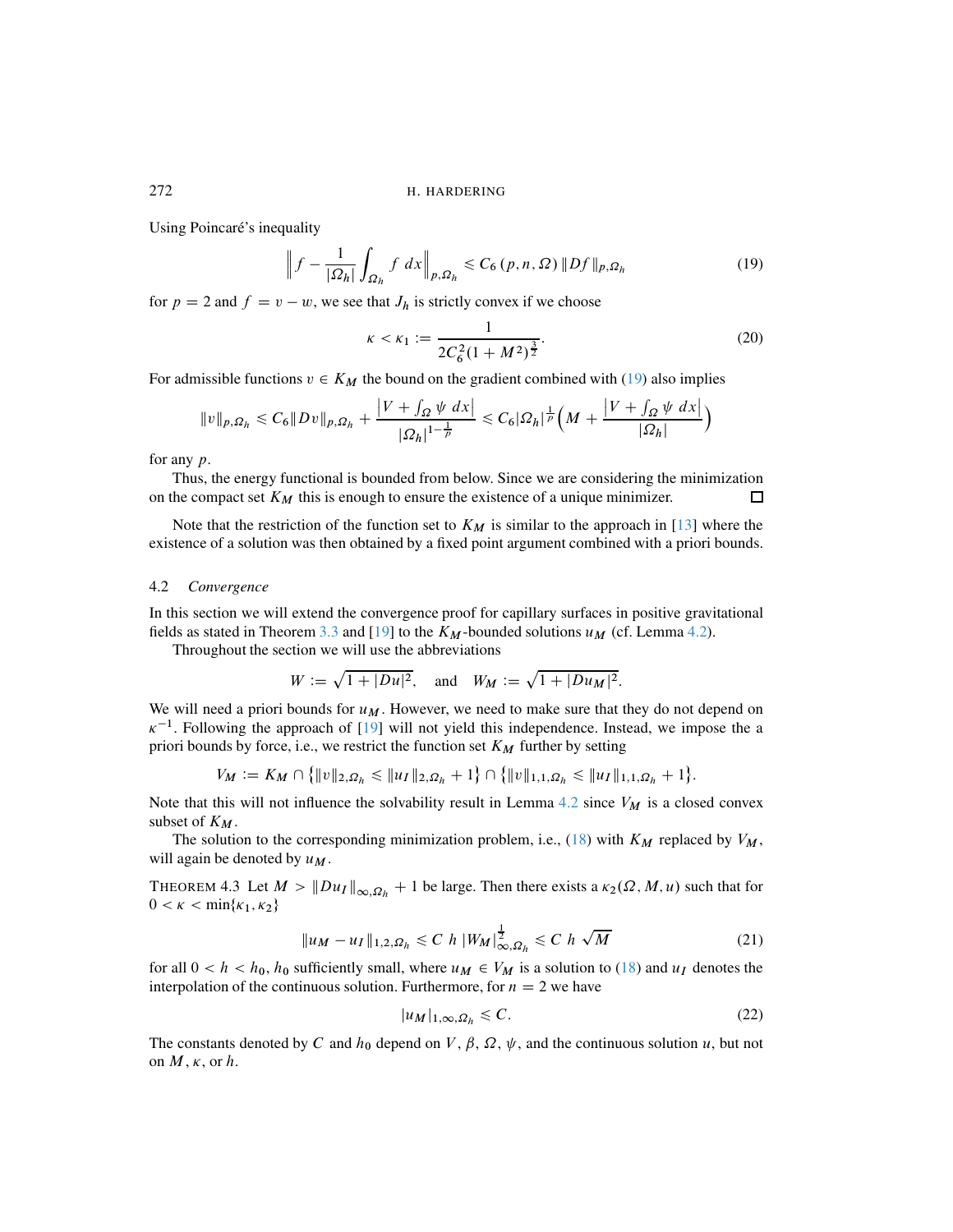Using Poincaré's inequality

<span id="page-9-0"></span>
$$
\left\|f - \frac{1}{|\Omega_h|} \int_{\Omega_h} f \, dx \right\|_{p,\Omega_h} \le C_6(p,n,\Omega) \, \|Df\|_{p,\Omega_h} \tag{19}
$$

for  $p = 2$  and  $f = v - w$ , we see that  $J_h$  is strictly convex if we choose

$$
\kappa < \kappa_1 := \frac{1}{2C_6^2(1 + M^2)^{\frac{3}{2}}}.\tag{20}
$$

For admissible functions  $v \in K_M$  the bound on the gradient combined with [\(19\)](#page-9-0) also implies

$$
||v||_{p,\Omega_h} \leq C_6 ||Dv||_{p,\Omega_h} + \frac{|V + \int_{\Omega} \psi \, dx|}{|\Omega_h|^{1 - \frac{1}{p}}} \leq C_6 |\Omega_h|^{\frac{1}{p}} \Big( M + \frac{|V + \int_{\Omega} \psi \, dx|}{|\Omega_h|} \Big)
$$

for any p.

Thus, the energy functional is bounded from below. Since we are considering the minimization on the compact set  $K_M$  this is enough to ensure the existence of a unique minimizer.  $\Box$ 

Note that the restriction of the function set to  $K_M$  is similar to the approach in [\[13\]](#page-17-4) where the existence of a solution was then obtained by a fixed point argument combined with a priori bounds.

#### 4.2 *Convergence*

In this section we will extend the convergence proof for capillary surfaces in positive gravitational fields as stated in Theorem [3.3](#page-6-3) and [\[19\]](#page-17-6) to the  $K_M$ -bounded solutions  $u_M$  (cf. Lemma [4.2\)](#page-8-0).

Throughout the section we will use the abbreviations

$$
W := \sqrt{1 + |Du|^2}
$$
, and  $W_M := \sqrt{1 + |Du_M|^2}$ .

We will need a priori bounds for  $u_M$ . However, we need to make sure that they do not depend on  $\kappa^{-1}$ . Following the approach of [\[19\]](#page-17-6) will not yield this independence. Instead, we impose the a priori bounds by force, i.e., we restrict the function set  $K_M$  further by setting

$$
V_M := K_M \cap \{|v\|_{2,\Omega_h} \leq \|u_I\|_{2,\Omega_h} + 1\} \cap \{|v\|_{1,1,\Omega_h} \leq \|u_I\|_{1,1,\Omega_h} + 1\}.
$$

Note that this will not influence the solvability result in Lemma [4.2](#page-8-0) since  $V_M$  is a closed convex subset of  $K_M$ .

The solution to the corresponding minimization problem, i.e., [\(18\)](#page-8-1) with  $K_M$  replaced by  $V_M$ , will again be denoted by  $u_M$ .

<span id="page-9-2"></span>THEOREM 4.3 Let  $M > ||Du_I||_{\infty, \Omega_h} + 1$  be large. Then there exists a  $\kappa_2(\Omega, M, u)$  such that for  $0 < \kappa < \min\{\kappa_1, \kappa_2\}$ 

<span id="page-9-1"></span>
$$
||u_M - u_I||_{1,2,\Omega_h} \le C \ h \ |W_M|_{\infty,\Omega_h}^{\frac{1}{2}} \le C \ h \ \sqrt{M} \tag{21}
$$

for all  $0 < h < h_0$ ,  $h_0$  sufficiently small, where  $u_M \in V_M$  is a solution to [\(18\)](#page-8-1) and  $u_I$  denotes the interpolation of the continuous solution. Furthermore, for  $n = 2$  we have

<span id="page-9-3"></span>
$$
|u_M|_{1,\infty,\Omega_h} \leq C.\tag{22}
$$

The constants denoted by C and  $h_0$  depend on V,  $\beta$ ,  $\Omega$ ,  $\psi$ , and the continuous solution u, but not on  $M$ ,  $\kappa$ , or  $h$ .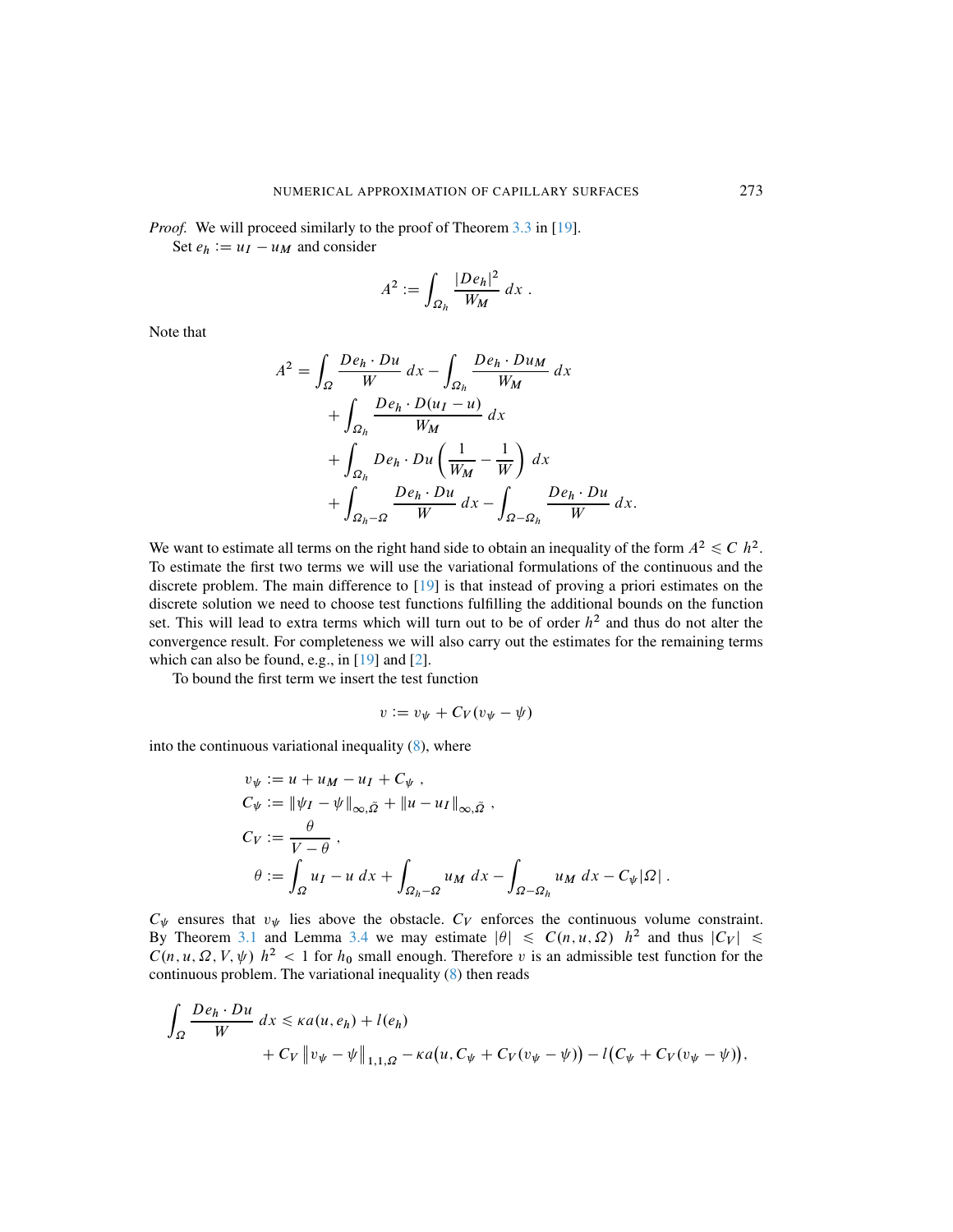*Proof.* We will proceed similarly to the proof of Theorem [3.3](#page-6-3) in [\[19\]](#page-17-6).

Set  $e_h := u_I - u_M$  and consider

$$
A^2 := \int_{\Omega_h} \frac{|D e_h|^2}{W_M} dx.
$$

Note that

$$
A^{2} = \int_{\Omega} \frac{De_{h} \cdot Du}{W} dx - \int_{\Omega_{h}} \frac{De_{h} \cdot Du_{M}}{W_{M}} dx
$$
  
+ 
$$
\int_{\Omega_{h}} \frac{De_{h} \cdot D(u_{I} - u)}{W_{M}} dx
$$
  
+ 
$$
\int_{\Omega_{h}} De_{h} \cdot Du \left(\frac{1}{W_{M}} - \frac{1}{W}\right) dx
$$
  
+ 
$$
\int_{\Omega_{h} - \Omega} \frac{De_{h} \cdot Du}{W} dx - \int_{\Omega - \Omega_{h}} \frac{De_{h} \cdot Du}{W} dx.
$$

We want to estimate all terms on the right hand side to obtain an inequality of the form  $A^2 \leq C h^2$ . To estimate the first two terms we will use the variational formulations of the continuous and the discrete problem. The main difference to [\[19\]](#page-17-6) is that instead of proving a priori estimates on the discrete solution we need to choose test functions fulfilling the additional bounds on the function set. This will lead to extra terms which will turn out to be of order  $h^2$  and thus do not alter the convergence result. For completeness we will also carry out the estimates for the remaining terms which can also be found, e.g., in  $[19]$  and  $[2]$ .

To bound the first term we insert the test function

$$
v := v_{\psi} + C_V(v_{\psi} - \psi)
$$

into the continuous variational inequality  $(8)$ , where

$$
v_{\psi} := u + u_M - u_I + C_{\psi} ,
$$
  
\n
$$
C_{\psi} := \|\psi_I - \psi\|_{\infty, \tilde{\Omega}} + \|u - u_I\|_{\infty, \tilde{\Omega}} ,
$$
  
\n
$$
C_V := \frac{\theta}{V - \theta} ,
$$
  
\n
$$
\theta := \int_{\Omega} u_I - u \, dx + \int_{\Omega_h - \Omega} u_M \, dx - \int_{\Omega - \Omega_h} u_M \, dx - C_{\psi} |\Omega| .
$$

 $C_{\psi}$  ensures that  $v_{\psi}$  lies above the obstacle.  $C_{V}$  enforces the continuous volume constraint. By Theorem [3.1](#page-5-0) and Lemma [3.4](#page-7-0) we may estimate  $|\theta| \leq C(n, u, \Omega)$   $h^2$  and thus  $|C_V| \leq$  $C(n, u, \Omega, V, \psi)$   $h^2 < 1$  for  $h_0$  small enough. Therefore v is an admissible test function for the continuous problem. The variational inequality [\(8\)](#page-3-1) then reads

$$
\int_{\Omega} \frac{De_h \cdot Du}{W} dx \leq \kappa a(u, e_h) + l(e_h)
$$
  
+  $C_V ||v_{\psi} - \psi||_{1,1,\Omega} - \kappa a(u, C_{\psi} + C_V(v_{\psi} - \psi)) - l(C_{\psi} + C_V(v_{\psi} - \psi)),$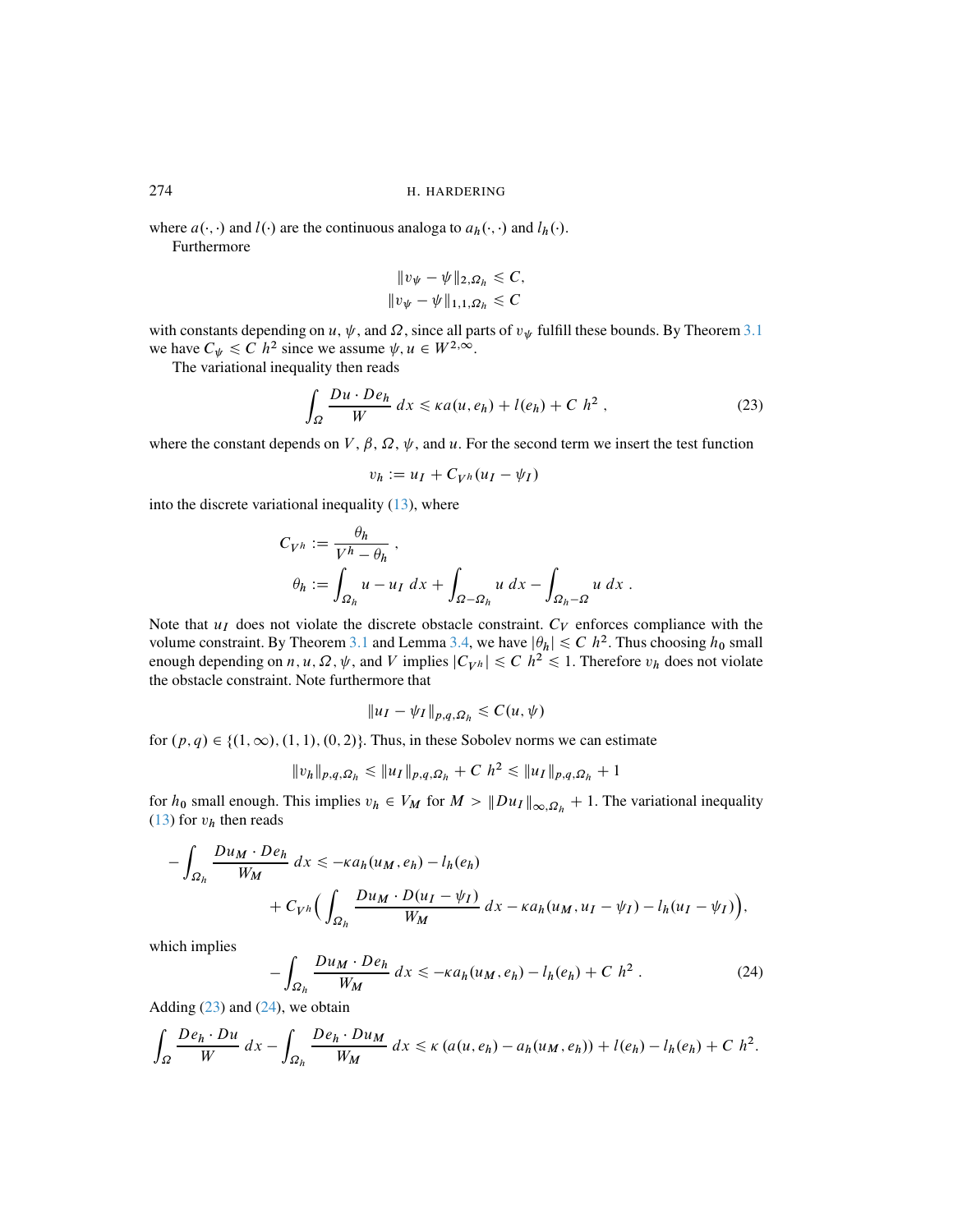where  $a(\cdot, \cdot)$  and  $l(\cdot)$  are the continuous analoga to  $a_h(\cdot, \cdot)$  and  $l_h(\cdot)$ . Furthermore

<span id="page-11-0"></span>
$$
||v_{\psi} - \psi||_{2,\Omega_h} \leq C,
$$
  

$$
||v_{\psi} - \psi||_{1,1,\Omega_h} \leq C
$$

with constants depending on u,  $\psi$ , and  $\Omega$ , since all parts of  $v_{\psi}$  fulfill these bounds. By Theorem [3.1](#page-5-0) we have  $C_{\psi} \leq C h^2$  since we assume  $\psi, u \in W^{2,\infty}$ .

The variational inequality then reads

$$
\int_{\Omega} \frac{Du \cdot De_h}{W} dx \leq \kappa a(u, e_h) + l(e_h) + C h^2 , \qquad (23)
$$

where the constant depends on V,  $\beta$ ,  $\Omega$ ,  $\psi$ , and u. For the second term we insert the test function

$$
v_h := u_I + C_{V^h}(u_I - \psi_I)
$$

into the discrete variational inequality  $(13)$ , where

$$
C_{V^h} := \frac{\theta_h}{V^h - \theta_h},
$$
  

$$
\theta_h := \int_{\Omega_h} u - u_I \, dx + \int_{\Omega - \Omega_h} u \, dx - \int_{\Omega_h - \Omega} u \, dx.
$$

Note that  $u_I$  does not violate the discrete obstacle constraint.  $C_V$  enforces compliance with the volume constraint. By Theorem [3.1](#page-5-0) and Lemma [3.4,](#page-7-0) we have  $|\theta_h| \leq C h^2$ . Thus choosing  $h_0$  small enough depending on  $n, u, \Omega, \psi$ , and V implies  $|C_{V^h}| \le C h^2 \le 1$ . Therefore  $v_h$  does not violate the obstacle constraint. Note furthermore that

$$
||u_I - \psi_I||_{p,q,\Omega_h} \leq C(u,\psi)
$$

for  $(p, q) \in \{(1, \infty), (1, 1), (0, 2)\}.$  Thus, in these Sobolev norms we can estimate

$$
||v_h||_{p,q,\Omega_h} \le ||u_I||_{p,q,\Omega_h} + C \; h^2 \le ||u_I||_{p,q,\Omega_h} + 1
$$

for  $h_0$  small enough. This implies  $v_h \in V_M$  for  $M > ||Du_I||_{\infty, \Omega_h} + 1$ . The variational inequality [\(13\)](#page-6-1) for  $v_h$  then reads

$$
-\int_{\Omega_h} \frac{Du_M \cdot De_h}{W_M} dx \leq -\kappa a_h(u_M, e_h) - l_h(e_h)
$$
  
+  $C_{V^h} \Big( \int_{\Omega_h} \frac{Du_M \cdot D(u_I - \psi_I)}{W_M} dx - \kappa a_h(u_M, u_I - \psi_I) - l_h(u_I - \psi_I) \Big),$ 

which implies

<span id="page-11-1"></span>
$$
-\int_{\Omega_h} \frac{Du_M \cdot De_h}{W_M} dx \leq -\kappa a_h(u_M, e_h) - l_h(e_h) + C h^2.
$$
 (24)

Adding  $(23)$  and  $(24)$ , we obtain

$$
\int_{\Omega} \frac{De_h \cdot Du}{W} dx - \int_{\Omega_h} \frac{De_h \cdot Du_M}{W_M} dx \le \kappa (a(u, e_h) - a_h(u_M, e_h)) + l(e_h) - l_h(e_h) + C h^2.
$$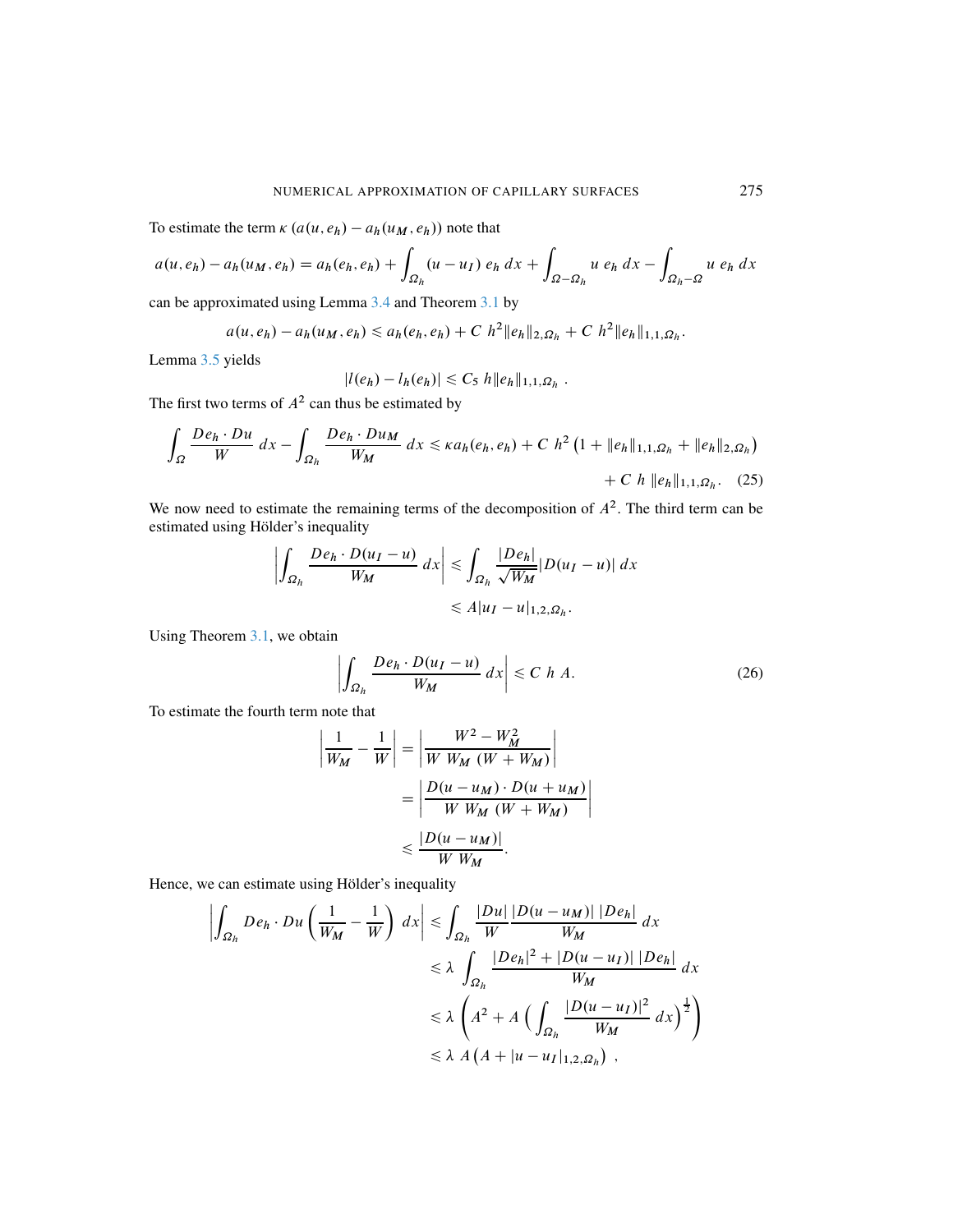To estimate the term  $\kappa (a(u, e_h) - a_h(u_M, e_h))$  note that

$$
a(u, e_h) - a_h(u_M, e_h) = a_h(e_h, e_h) + \int_{\Omega_h} (u - u_I) e_h \, dx + \int_{\Omega - \Omega_h} u e_h \, dx - \int_{\Omega_h - \Omega} u e_h \, dx
$$

can be approximated using Lemma [3.4](#page-7-0) and Theorem [3.1](#page-5-0) by

$$
a(u, e_h) - a_h(u_M, e_h) \le a_h(e_h, e_h) + C \; h^2 \|e_h\|_{2, \Omega_h} + C \; h^2 \|e_h\|_{1, 1, \Omega_h}.
$$

Lemma [3.5](#page-7-1) yields

<span id="page-12-0"></span>
$$
|l(e_h) - l_h(e_h)| \leq C_5 \, h \|e_h\|_{1,1,\Omega_h} \, .
$$

The first two terms of  $A^2$  can thus be estimated by

$$
\int_{\Omega} \frac{De_h \cdot Du}{W} dx - \int_{\Omega_h} \frac{De_h \cdot Du_M}{W_M} dx \leq \kappa a_h(e_h, e_h) + C h^2 \left(1 + \|e_h\|_{1,1,\Omega_h} + \|e_h\|_{2,\Omega_h}\right) + C h \|e_h\|_{1,1,\Omega_h}.
$$
 (25)

We now need to estimate the remaining terms of the decomposition of  $A<sup>2</sup>$ . The third term can be estimated using Hölder's inequality

$$
\left| \int_{\Omega_h} \frac{De_h \cdot D(u_I - u)}{W_M} dx \right| \leq \int_{\Omega_h} \frac{|De_h|}{\sqrt{W_M}} |D(u_I - u)| dx
$$
  

$$
\leq A |u_I - u|_{1,2,\Omega_h}.
$$

Using Theorem [3.1,](#page-5-0) we obtain

<span id="page-12-1"></span>
$$
\left| \int_{\Omega_h} \frac{De_h \cdot D(u_I - u)}{W_M} dx \right| \le C \ h \ A. \tag{26}
$$

To estimate the fourth term note that

$$
\left| \frac{1}{W_M} - \frac{1}{W} \right| = \left| \frac{W^2 - W_M^2}{W W_M (W + W_M)} \right|
$$

$$
= \left| \frac{D(u - u_M) \cdot D(u + u_M)}{W W_M (W + W_M)} \right|
$$

$$
\leq \frac{|D(u - u_M)|}{W W_M}.
$$

Hence, we can estimate using Hölder's inequality

$$
\left| \int_{\Omega_h} De_h \cdot Du \left( \frac{1}{W_M} - \frac{1}{W} \right) dx \right| \leq \int_{\Omega_h} \frac{|Du|}{W} \frac{|D(u - u_M)| |De_h|}{W_M} dx
$$
  
\n
$$
\leq \lambda \int_{\Omega_h} \frac{|De_h|^2 + |D(u - u_I)| |De_h|}{W_M} dx
$$
  
\n
$$
\leq \lambda \left( A^2 + A \left( \int_{\Omega_h} \frac{|D(u - u_I)|^2}{W_M} dx \right)^{\frac{1}{2}} \right)
$$
  
\n
$$
\leq \lambda A (A + |u - u_I|_{1,2,\Omega_h}),
$$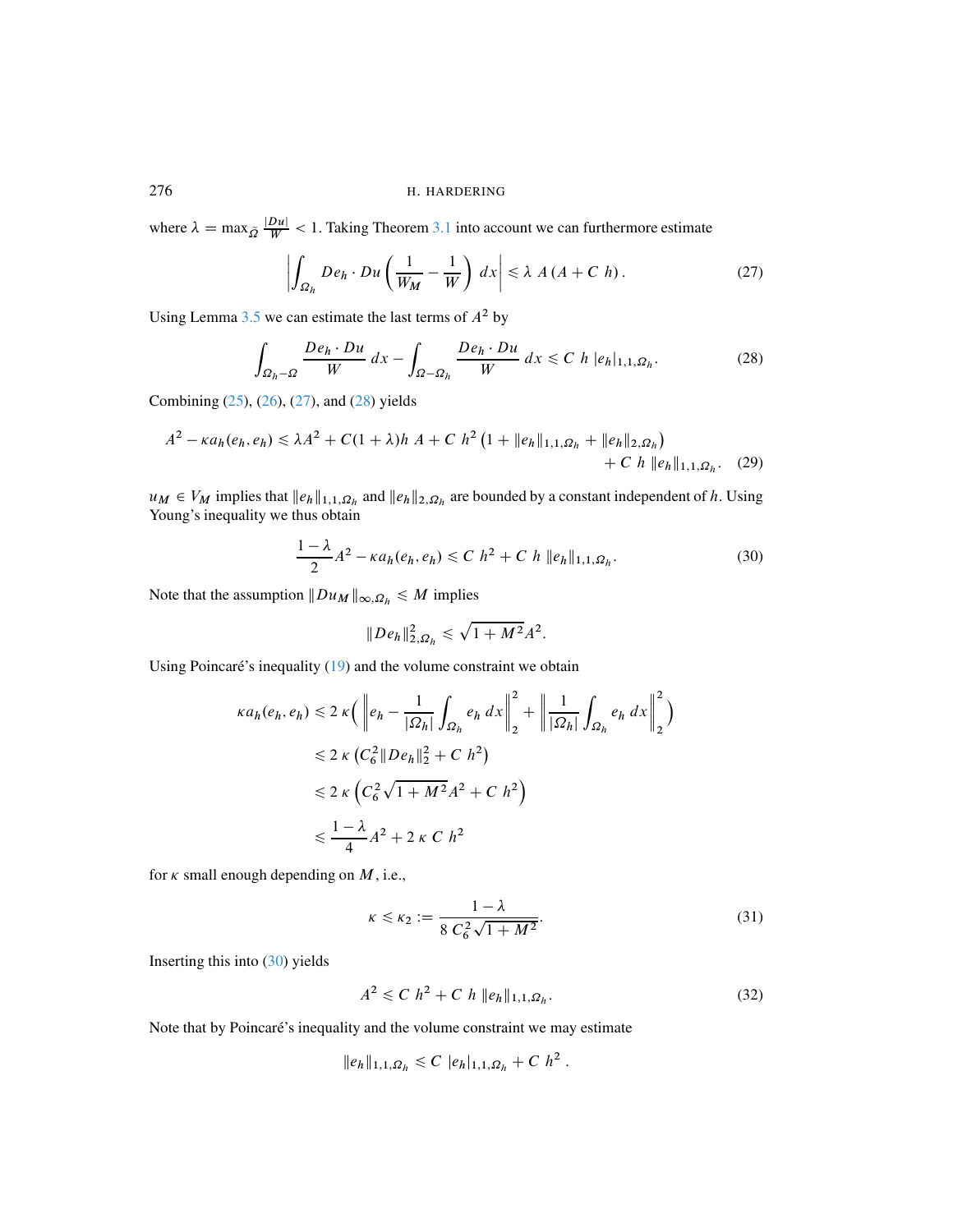where  $\lambda = \max_{\tilde{Q}} \frac{|D u|}{W} < 1$ . Taking Theorem [3.1](#page-5-0) into account we can furthermore estimate

<span id="page-13-1"></span><span id="page-13-0"></span>
$$
\left| \int_{\Omega_h} De_h \cdot Du \left( \frac{1}{W_M} - \frac{1}{W} \right) dx \right| \le \lambda A (A + C h). \tag{27}
$$

Using Lemma [3.5](#page-7-1) we can estimate the last terms of  $A^2$  by

$$
\int_{\Omega_h - \Omega} \frac{De_h \cdot Du}{W} dx - \int_{\Omega - \Omega_h} \frac{De_h \cdot Du}{W} dx \leq C h |e_h|_{1,1,\Omega_h}.
$$
 (28)

Combining [\(25\)](#page-12-0), [\(26\)](#page-12-1), [\(27\)](#page-13-0), and [\(28\)](#page-13-1) yields

$$
A^{2} - \kappa a_{h}(e_{h}, e_{h}) \le \lambda A^{2} + C(1 + \lambda)h A + C h^{2} (1 + ||e_{h}||_{1,1,\Omega_{h}} + ||e_{h}||_{2,\Omega_{h}}) + C h ||e_{h}||_{1,1,\Omega_{h}}.
$$
 (29)

 $u_M \in V_M$  implies that  $||e_h||_{1,1,\Omega_h}$  and  $||e_h||_{2,\Omega_h}$  are bounded by a constant independent of h. Using Young's inequality we thus obtain

$$
\frac{1-\lambda}{2}A^2 - \kappa a_h(e_h, e_h) \le C \; h^2 + C \; h \; \|e_h\|_{1,1,\Omega_h}.
$$
 (30)

Note that the assumption  $||Du_M||_{\infty, \Omega_h} \leq M$  implies

<span id="page-13-2"></span>
$$
||De_h||_{2,\Omega_h}^2 \le \sqrt{1+M^2}A^2.
$$

Using Poincaré's inequality  $(19)$  and the volume constraint we obtain

$$
\kappa a_h(e_h, e_h) \leq 2 \kappa \left( \left\| e_h - \frac{1}{|\Omega_h|} \int_{\Omega_h} e_h \, dx \right\|_2^2 + \left\| \frac{1}{|\Omega_h|} \int_{\Omega_h} e_h \, dx \right\|_2^2 \right)
$$
  
\n
$$
\leq 2 \kappa \left( C_6^2 \left\| D e_h \right\|_2^2 + C \, h^2 \right)
$$
  
\n
$$
\leq 2 \kappa \left( C_6^2 \sqrt{1 + M^2} A^2 + C \, h^2 \right)
$$
  
\n
$$
\leq \frac{1 - \lambda}{4} A^2 + 2 \kappa \, C \, h^2
$$

for  $\kappa$  small enough depending on  $M$ , i.e.,

<span id="page-13-3"></span>
$$
\kappa \le \kappa_2 := \frac{1 - \lambda}{8 C_6^2 \sqrt{1 + M^2}}.
$$
\n(31)

Inserting this into [\(30\)](#page-13-2) yields

$$
A^2 \leq C \; h^2 + C \; h \; \|e_h\|_{1,1,\Omega_h}.\tag{32}
$$

Note that by Poincaré's inequality and the volume constraint we may estimate

$$
||e_h||_{1,1,\Omega_h} \leq C |e_h|_{1,1,\Omega_h} + C h^2.
$$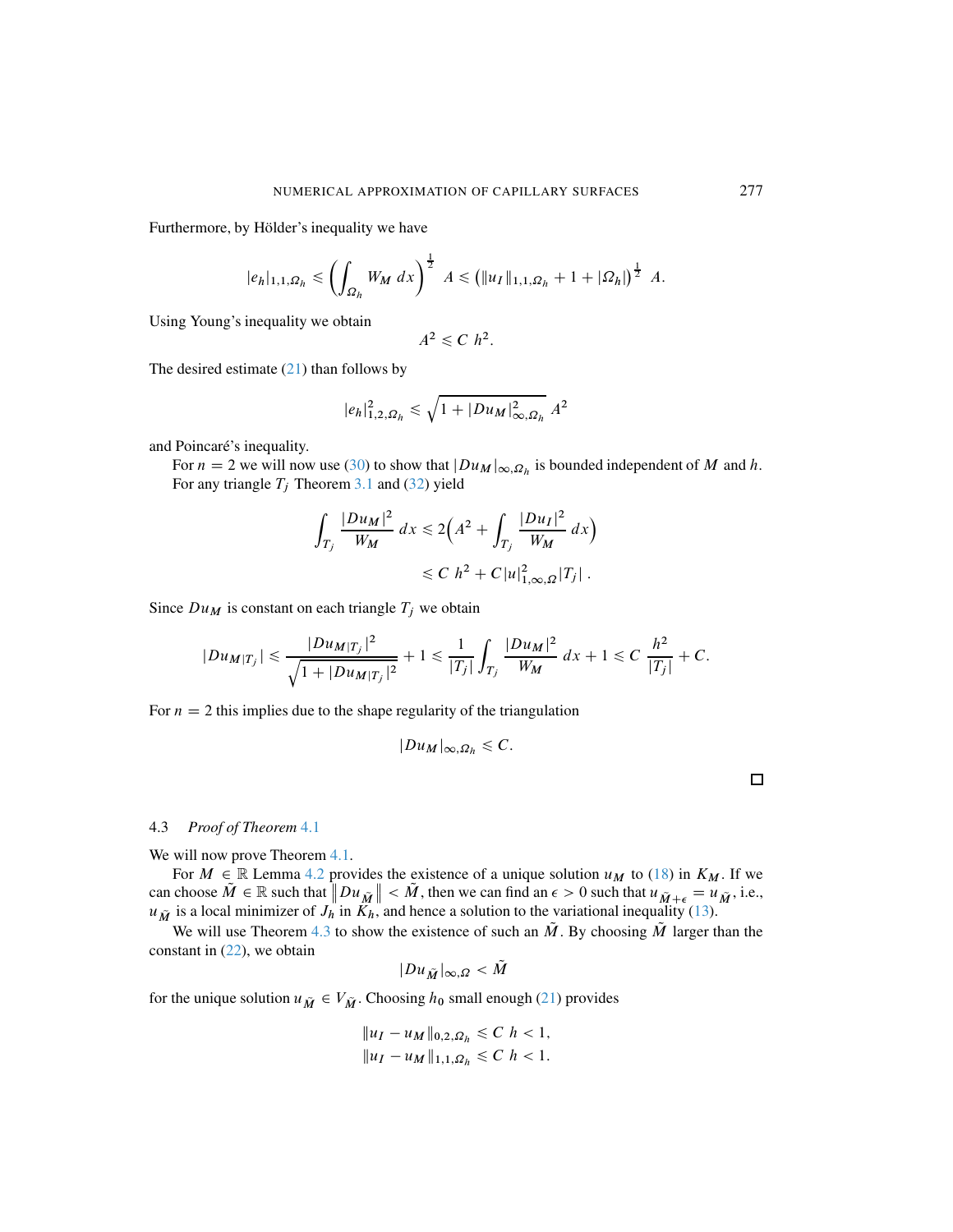Furthermore, by Hölder's inequality we have

$$
|e_h|_{1,1,\Omega_h} \le \left(\int_{\Omega_h} W_M \, dx\right)^{\frac{1}{2}} A \le \left(\|u_I\|_{1,1,\Omega_h} + 1 + |\Omega_h|\right)^{\frac{1}{2}} A.
$$

Using Young's inequality we obtain

$$
A^2 \leq C h^2.
$$

The desired estimate  $(21)$  than follows by

$$
|e_h|^2_{1,2,\Omega_h} \leq \sqrt{1+|Du_M|^2_{\infty,\Omega_h}} A^2
$$

and Poincaré's inequality.

For  $n = 2$  we will now use [\(30\)](#page-13-2) to show that  $|Du_M|_{\infty, \Omega_h}$  is bounded independent of M and h. For any triangle  $T_j$  Theorem [3.1](#page-5-0) and [\(32\)](#page-13-3) yield

$$
\int_{T_j} \frac{|Du_M|^2}{W_M} dx \le 2\Big(A^2 + \int_{T_j} \frac{|Du_I|^2}{W_M} dx\Big) \le C \ h^2 + C |u|_{1,\infty,\Omega}^2 |T_j| \, .
$$

Since  $Du_M$  is constant on each triangle  $T_j$  we obtain

$$
|Du_{M|T_j}|\leq \frac{|Du_{M|T_j}|^2}{\sqrt{1+|Du_{M|T_j}|^2}}+1\leq \frac{1}{|T_j|}\int_{T_j}\frac{|Du_M|^2}{W_M}\,dx+1\leq C\,\frac{h^2}{|T_j|}+C.
$$

For  $n = 2$  this implies due to the shape regularity of the triangulation

$$
|Du_M|_{\infty,\Omega_h}\leqslant C.
$$

#### <span id="page-14-0"></span>4.3 *Proof of Theorem* [4.1](#page-7-3)

We will now prove Theorem [4.1.](#page-7-3)

For  $M \in \mathbb{R}$  Lemma [4.2](#page-8-0) provides the existence of a unique solution  $u_M$  to [\(18\)](#page-8-1) in  $K_M$ . If we can choose  $\tilde{M} \in \mathbb{R}$  such that  $\|Du_{\tilde{M}}\| < \tilde{M}$ , then we can find an  $\epsilon > 0$  such that  $u_{\tilde{M}} + \epsilon = u_{\tilde{M}}$ , i.e.,  $u_{\tilde{M}}$  is a local minimizer of  $J_h$  in  $K_h$ , and hence a solution to the variational inequality [\(13\)](#page-6-1).

We will use Theorem [4.3](#page-9-2) to show the existence of such an  $\tilde{M}$ . By choosing  $\tilde{M}$  larger than the constant in [\(22\)](#page-9-3), we obtain

$$
|Du_{\tilde{M}}|_{\infty,\Omega} < M
$$

for the unique solution  $u_{\tilde{M}} \in V_{\tilde{M}}$ . Choosing  $h_0$  small enough [\(21\)](#page-9-1) provides

$$
||u_I - u_M||_{0,2,\Omega_h} \leq C \ h < 1,
$$
  

$$
||u_I - u_M||_{1,1,\Omega_h} \leq C \ h < 1.
$$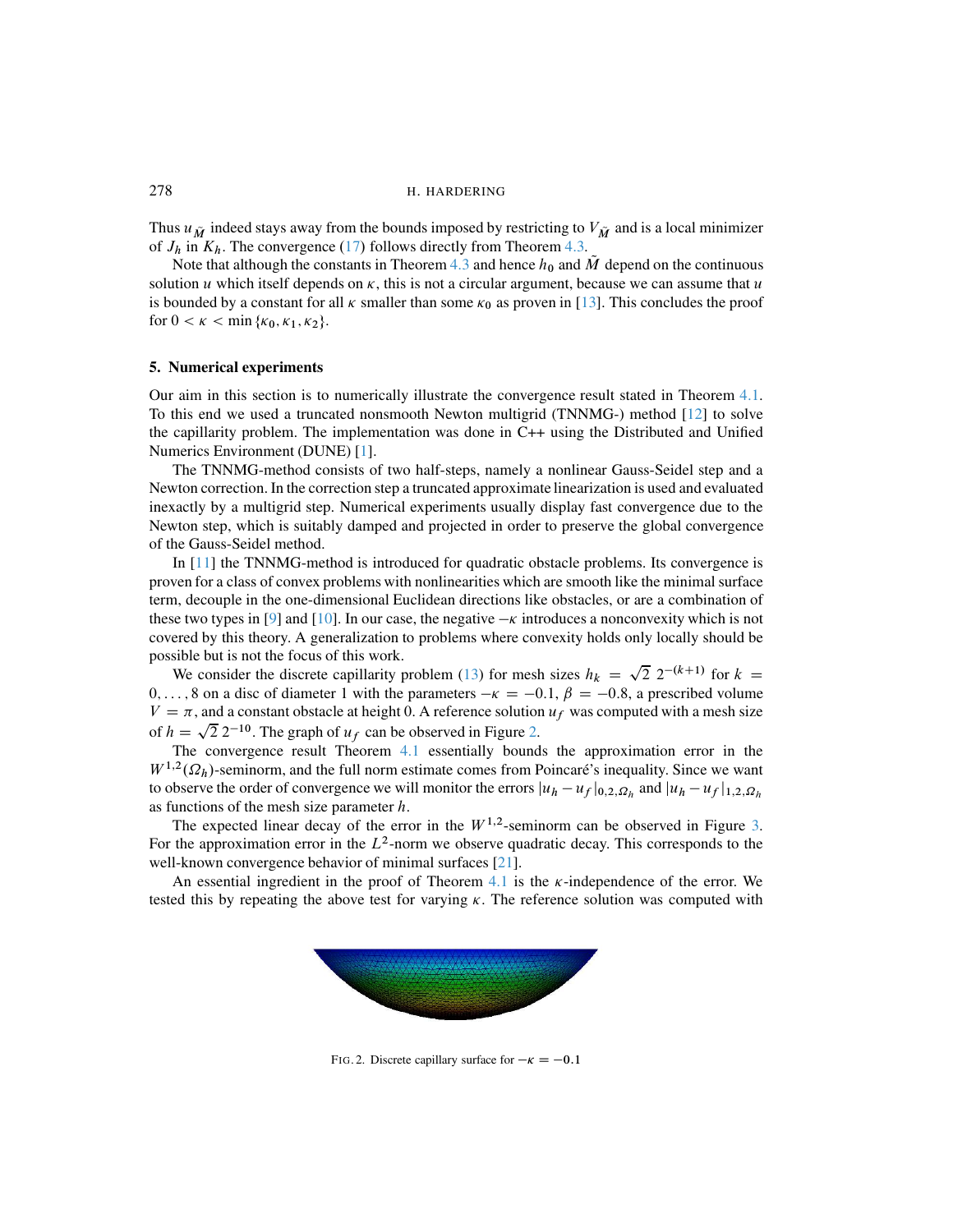Thus  $u_{\tilde{M}}$  indeed stays away from the bounds imposed by restricting to  $V_{\tilde{M}}$  and is a local minimizer of  $J_h$  in  $K_h$ . The convergence (17) follows directly from Theorem [4.3.](#page-9-2)

Note that although the constants in Theorem [4.3](#page-9-2) and hence  $h_0$  and  $\tilde{M}$  depend on the continuous solution u which itself depends on  $\kappa$ , this is not a circular argument, because we can assume that u is bounded by a constant for all  $\kappa$  smaller than some  $\kappa_0$  as proven in [\[13\]](#page-17-4). This concludes the proof for  $0 < \kappa < \min\{\kappa_0, \kappa_1, \kappa_2\}.$ 

#### 5. Numerical experiments

Our aim in this section is to numerically illustrate the convergence result stated in Theorem [4.1.](#page-7-3) To this end we used a truncated nonsmooth Newton multigrid (TNNMG-) method [\[12\]](#page-17-16) to solve the capillarity problem. The implementation was done in C++ using the Distributed and Unified Numerics Environment (DUNE) [\[1\]](#page-16-2).

The TNNMG-method consists of two half-steps, namely a nonlinear Gauss-Seidel step and a Newton correction. In the correction step a truncated approximate linearization is used and evaluated inexactly by a multigrid step. Numerical experiments usually display fast convergence due to the Newton step, which is suitably damped and projected in order to preserve the global convergence of the Gauss-Seidel method.

In [\[11\]](#page-17-17) the TNNMG-method is introduced for quadratic obstacle problems. Its convergence is proven for a class of convex problems with nonlinearities which are smooth like the minimal surface term, decouple in the one-dimensional Euclidean directions like obstacles, or are a combination of these two types in [\[9\]](#page-17-18) and [\[10\]](#page-17-19). In our case, the negative  $-\kappa$  introduces a nonconvexity which is not covered by this theory. A generalization to problems where convexity holds only locally should be possible but is not the focus of this work.

We consider the discrete capillarity problem [\(13\)](#page-6-1) for mesh sizes  $h_k = \sqrt{2} 2^{-(k+1)}$  for  $k =$  $0, \ldots, 8$  on a disc of diameter 1 with the parameters  $-\kappa = -0.1, \beta = -0.8$ , a prescribed volume  $V = \pi$ , and a constant obstacle at height 0. A reference solution  $u_f$  was computed with a mesh size of  $h = \sqrt{2} 2^{-10}$ . The graph of  $u_f$  can be observed in Figure [2.](#page-15-0)

The convergence result Theorem [4.1](#page-7-3) essentially bounds the approximation error in the  $W^{1,2}(\Omega_h)$ -seminorm, and the full norm estimate comes from Poincaré's inequality. Since we want to observe the order of convergence we will monitor the errors  $|u_h - u_f|_{0,2,\Omega_h}$  and  $|u_h - u_f|_{1,2,\Omega_h}$ as functions of the mesh size parameter h.

The expected linear decay of the error in the  $W^{1,2}$ -seminorm can be observed in Figure [3.](#page-16-3) For the approximation error in the  $L^2$ -norm we observe quadratic decay. This corresponds to the well-known convergence behavior of minimal surfaces [\[21\]](#page-17-7).

An essential ingredient in the proof of Theorem [4.1](#page-7-3) is the  $\kappa$ -independence of the error. We tested this by repeating the above test for varying  $\kappa$ . The reference solution was computed with



<span id="page-15-0"></span>FIG. 2. Discrete capillary surface for  $-\kappa = -0.1$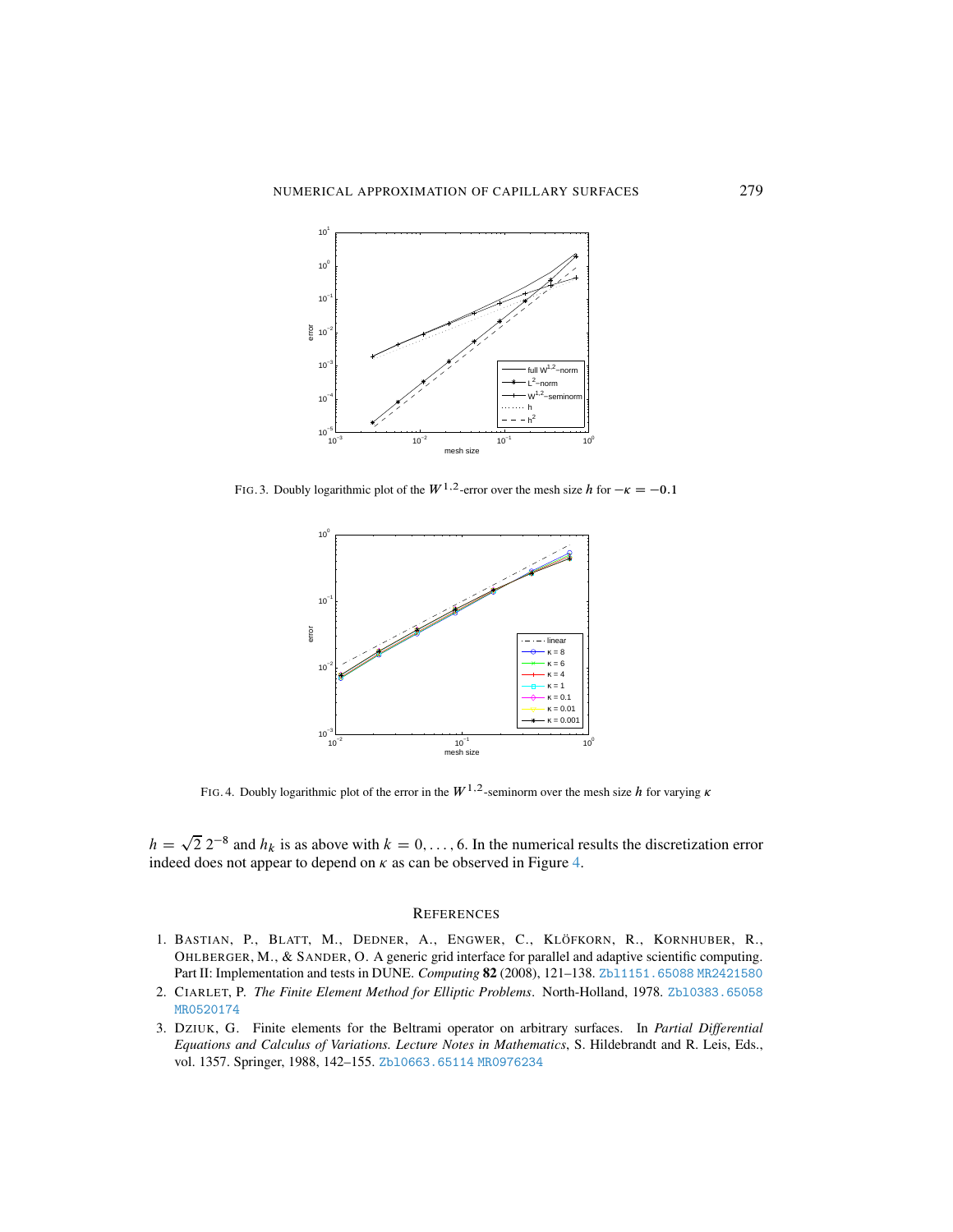

FIG. 3. Doubly logarithmic plot of the  $W^{1,2}$ -error over the mesh size h for  $-\kappa = -0.1$ 

<span id="page-16-3"></span>

<span id="page-16-4"></span>FIG. 4. Doubly logarithmic plot of the error in the  $W^{1,2}$ -seminorm over the mesh size h for varying  $\kappa$ 

 $h = \sqrt{2} 2^{-8}$  and  $h_k$  is as above with  $k = 0, \ldots, 6$ . In the numerical results the discretization error indeed does not appear to depend on  $\kappa$  as can be observed in Figure [4.](#page-16-4)

#### **REFERENCES**

- <span id="page-16-2"></span>1. BASTIAN, P., BLATT, M., DEDNER, A., ENGWER, C., KLÖFKORN, R., KORNHUBER, R., OHLBERGER, M., & SANDER, O. A generic grid interface for parallel and adaptive scientific computing. Part II: Implementation and tests in DUNE. *Computing* 82 (2008), 121–138. [Zbl1151.65088](Zbl 1151.65088) [MR2421580](MR 2421580)
- <span id="page-16-0"></span>2. CIARLET, P. *The Finite Element Method for Elliptic Problems*. North-Holland, 1978. [Zbl0383.65058](Zbl 0383.65058) [MR0520174](MR 0520174)
- <span id="page-16-1"></span>3. DZIUK, G. Finite elements for the Beltrami operator on arbitrary surfaces. In *Partial Differential Equations and Calculus of Variations. Lecture Notes in Mathematics*, S. Hildebrandt and R. Leis, Eds., vol. 1357. Springer, 1988, 142–155. [Zbl0663.65114](Zbl 0663.65114) [MR0976234](MR 0976234)